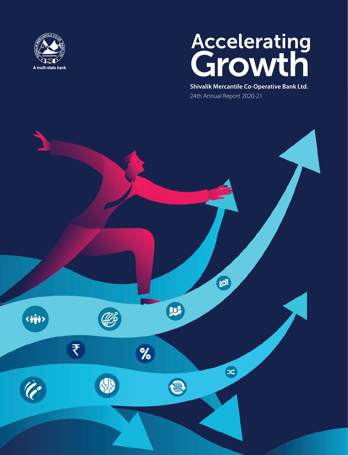

# **Accelerating** Growth

**Shivalik Mercantile Co-Operative Bank Ltd.** 24th Annual Report 2020-21

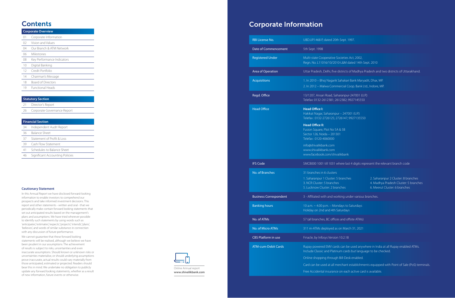### Corporate Information

| UBD.UP.1468 P, dated 20th Sept. 1997.                                                                                            |
|----------------------------------------------------------------------------------------------------------------------------------|
| 5th Sept. 1998                                                                                                                   |
| Multi-state Cooperative Societies Act,<br>Regn. No. L11016/10/2010-L&M dated                                                     |
| Uttar Pradesh, Delhi, five districts of N                                                                                        |
| 1. In 2010 - Bhoj Nagarik Sahakari Bar<br>2. In 2012 - Malwa Commercial Coop                                                     |
| 13/1207, Ansari Road, Saharanpur-247<br>Telefax: 0132-2612381; 2612382; 9927                                                     |
| <b>Head Office I:</b><br>Hakikat Nagar, Saharanpur - 247001 (<br>Telefax: 0132-2726125; 2726147; 9927                            |
| <b>Head Office II:</b><br>Fusion Square, Plot No 5A & 5B<br>Sector 126, Noida - 201301<br>Telefax: 0120-4060000                  |
| info@shivalikbank.com<br>www.shivalikbank.com<br>www.facebook.com/shivalikbank                                                   |
| SMCB000 1001 till 1031 where last 4 c                                                                                            |
| 31 branches in 6 clusters<br>1. Saharanpur 1 Cluster: 5 branches<br>3. NCR Cluster: 5 branches<br>5. Lucknow Cluster: 2 branches |
| 3 - Affiliated with and working under                                                                                            |
| 10 a.m. ~ 4.00 p.m. - Mondays to Satu<br>Holiday on 2nd and 4th Saturdays                                                        |
| 57 (all branches, BC offices and offsite                                                                                         |
| 311 m-ATMs deployed as on March 31                                                                                               |
| Finacle, by Infosys Version 10.2.18                                                                                              |
| Rupay powered EMV cards can be use<br>Include Classic and Platinum cards bu                                                      |
| Online shopping through Bill-Desk er                                                                                             |
| Card can be used at all merchant esta<br>Frog Accidental incurance on oach act                                                   |
|                                                                                                                                  |

Res Act, 2002, M dated 14th Sept. 2010

ricts of Madhya Pradesh and two districts of Uttarakhand.

akari Bank Maryadit, Dhar, MP. ial Coop. Bank Ltd., Indore, MP.

npur-247001 (U.P.) 882; 9927145550

47001 (U.P.) 47; 9927135550

re last 4 digits represent the relevant branch code 1. Saharanpur 1 Cluster: 5 branches 2. Saharanpur 2 Cluster: 8 branches 4. Madhya Pradesh Cluster: 5 branches 6. Meerut Cluster: 6 branches

g under various branches.

Butan days is to Saturdays days **and 3** 

ffices and o ffsite ATMs)

Arch 31, 2021

n be used anywhere in India at all Rupay enabled ATMs. cards but language to be checked.

-Desk enabled.

nant establishments equipped with Point of Sale (PoS) terminals.

each active card is available.

### **Contents**

|    | <b>Corporate Overview</b>  |  |  |
|----|----------------------------|--|--|
| 01 | Corporate Information      |  |  |
| 02 | Vision and Values          |  |  |
| 04 | Our Branch & ATM Network   |  |  |
| 06 | Milestones                 |  |  |
| 08 | Key Performance Indicators |  |  |
| 10 | Digital Banking            |  |  |
| 12 | Credit Portfolio           |  |  |
| 14 | Chairman's Message         |  |  |
| 18 | <b>Board of Directors</b>  |  |  |
| 19 | <b>Functional Heads</b>    |  |  |

### **Statutory Section**

- 21 Director's Report
- 26 Corporate Governance Report

### **Financial Section**

- 34 Independent Audit Report
- 36 Balance Sheet
- 37 Statement of Profit & Loss
- 39 Cash Flow Statement
- 41 Schedules to Balance Sheet
- 46 Significant Accounting Policies

![](_page_1_Picture_15.jpeg)

#### **Cautionary Statement**

In this Annual Report we have disclosed forward-looking information to enable investors to comprehend our prospects and take informed investment decisions. This report and other statements - written and oral - that we periodically make contain forward looking statements that set out anticipated results based on the management's plans and assumptions. We have tried wherever possible to identify such statements by using words such as 'anticipates', 'estimates', 'expects', 'projects', 'intends', 'plans', 'believes', and words of similar substance in connection with any discussion of future performance.

We cannot guarantee that these forward looking statements will be realised, although we believe we have been prudent in our assumptions. The achievement of results is subject to risks, uncertainties and even inaccurate assumptions. Should known or unknown risks or uncertainties materialise, or should underlying assumptions prove inaccurate, actual results could vary materially from those anticipated, estimated or projected. Readers should bear this in mind. We undertake no obligation to publicly update any forward looking statements, whether as a result of new information, future events or otherwise.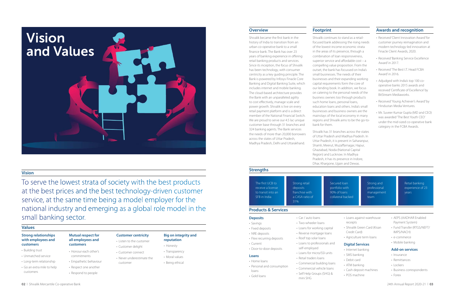![](_page_2_Picture_0.jpeg)

### **Vision**

### **Overview**

### **Strengths**

### **Products & Services**

### **Footprint Awards and recognition**

### **Values**

To serve the lowest strata of society with the best products at the best prices and the best technology-driven customer service, at the same time being a model employer for the national industry and emerging as a global role model in the small banking sector.

### **Strong relationships with employees and customers**

- Building trust
- Unmatched service
- Long-term relationship
- Go an extra mile to help customers

### **Mutual respect for all employees and customers**

- Honour each other's commitments
- Empathetic behaviour
- Respect one another
- Respond to people

### **Customer centricity**

- Listen to the customer
- Customer delight • Customer connect
- Never underestimate the

customer

### **Big on integrity and**

- **reputation**
- Honesty
- Transparency
- 
- 
- 
- Moral values
- Being ethical

Shivalik became the first bank in the history of India to transition from an urban co-operative bank to a small finance bank. The Bank has over 23 years of banking experience in offering retail banking products and services. Since its inception, the focus of Shivalik has been technology, with consumer centricity as a key guiding principle. The Bank is powered by Infosys Finacle Core Banking and Digital Banking Suite, which includes internet and mobile banking. The cloud-based architecture provides the Bank with an unparalleled agility to cost effectively, manage scale and power growth. Shivalik is live on every retail payment platform and is a direct member of the National Financial Switch. We are proud to serve our 4.5 lac unique customer base through 31 branches and 324 banking agents. The Bank services the needs of more than 20,000 borrowers across the states of Uttar Pradesh, Madhya Pradesh, Delhi and Uttarakhand.

Secured loan portfolio with 90% of loans collateral backed

Shivalik continues to stand as a retailfocused bank addressing the rising needs of the lowest-income economic strata in the areas of its presence, through a combination of loan responsiveness, superior service and affordable cost – a compelling value proposition. From the outset, the bank has focussed on India's small businesses. The needs of their businesses and their expanding working capital requirements form the core of our lending book. In addition, we focus on catering to the personal needs of the business owners too through products such home loans, personal loans, education loans and others. India's small businesses and business owners are the mainstays of the local economy in many regions and Shivalik aims to be the go-tobank for them.

Shivalik has 31 branches across the states of Uttar Pradesh and Madhya Pradesh. In Uttar Pradesh, it is present in Saharanpur, Shamli, Meerut, Muzaffarnagar, Hapur, Ghaziabad, Noida (National Capital Region) and Lucknow. In Madhya Pradesh, it has its presence in Indore, Dhar, Khargone, Ujjain and Dewas.

- Received 'Client Innovation Award' for customer journey reimagination and modern technology-led innovation at Finacle Client Awards, 2020.
- Received 'Banking Service Excellence Award' in 2017.
- Received 'The Best I.T. Head FCBA Award' in 2016.
- Adjudged with India's top 100 cooperative banks 2015 awards and received 'Certificate of Excellence' by BitStream Mediaworks.
- Received 'Young Achiever's Award' by Hindustan Media Ventures.
- Mr. Suveer Kumar Gupta (MD and CEO) was awarded 'The Best Youth CEO' under the mid-sized co-operative bank category in the FCBA Awards.

### The first UCB to receive a license to transit into an SFB in India

Strong retail deposits franchise with a CASA ratio of 31%

Strong and professional management team

Retail banking experience of 23 years

### **Deposits**

- Savings
- Fixed deposits
- NRE deposits
- Flexi recurring deposits
- Current
- Door-to-door deposits

### **Loans**

- Home loans
- Personal and consumption loans
- Gold loans
- Car / auto loans
- Two-wheeler loans
- Loans for working capital
- Reverse mortgage loans
- Roof top solar loans
- Loans to professionals and self-employed
- Loans for micro/SSI units
- Retail traders loans
- Commercial building loans
- Commercial vehicle loans
- Self Help Groups (SHG) & mini SHG
- Loans against warehouse receipts
- Shivalik Green Card (Kisan Credit Card)
- Agriculture term loans

### **Digital Services**

- Internet banking
- SMS banking
- Debit card
- ATM banking
- Cash deposit machines
- POS machine
- AEPS (AADHAR Enabled Payment System)
- Fund Transfer (RTGS/NEFT/ IMPS/NACH)
- e-commerce
- Mobile banking

### **Add-on services**

- Insurance
- Remittances
- Lockers
- Business correspondents
- Forex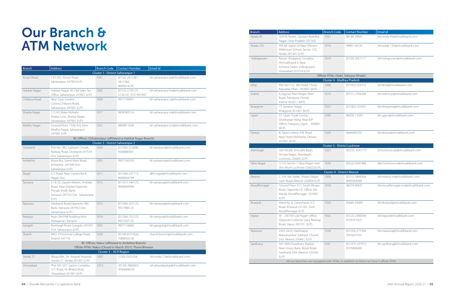# Our Branch & ATM Network

| <b>Branch</b> | <b>Address</b>                                                                                                                    | <b>Branch Code</b>                | <b>Contact Number</b>                                                                                        | Email id                          |
|---------------|-----------------------------------------------------------------------------------------------------------------------------------|-----------------------------------|--------------------------------------------------------------------------------------------------------------|-----------------------------------|
|               |                                                                                                                                   | Cluster 1 - District Saharanpur 1 |                                                                                                              |                                   |
| Ansari Road   | 13/1207, Ansari Road,<br>Saharanpur-247001(U.P)                                                                                   | 1001                              | $(0132)$ 2612381,<br>2612382,<br>9690014145                                                                  | bh.saharanpur.ar@shivalikbank.com |
| Hakikat Nagar | Hakikat Nagar, Nr. Old Sales Tax<br>Office, Saharanpur-247001 (U.P.)                                                              | 1003                              | $(0132)$ 2726125,<br>2726147, 9721447447                                                                     | bh.saharanpur.hn@shivalikbank.com |
| Chilkana Road | Near Gyan Garden<br>Colony, Chilkana Road,<br>Saharanpur-247001 (U.P.)                                                            | 1009                              | 9917139991                                                                                                   | bh.saharanpur.cr@shivalikbank.com |
| Sharda Nagar  | 1/1245 Wake Mohalla<br>Khalasi Line, Sharda Nagar,<br>Saharanpur-247001 (U.P.)                                                    | 1017                              | 9634583516                                                                                                   | bh.saharanpur.sn@shivalikbank.com |
| Madho Nagar   | Ground Floor, 1546 A/6, New<br>Madho Nagar, Saharanpur -<br>247001 (UP)                                                           | 1021                              | 8909811638                                                                                                   | bh.saharanpur.mn@shivalikbank.com |
|               |                                                                                                                                   |                                   | BC Offices: Chhutmalpur (affiliated to Hakikat Nagar Branch)                                                 |                                   |
|               |                                                                                                                                   | Cluster 2 - District Saharanpur 2 |                                                                                                              |                                   |
| Deoband       | Plot No-780, Subhash Chowk,<br>Railway Road, Deoband-247554<br>Dist. Saharanpur (U.P.)                                            | 1004                              | (01336) 222808,<br>9568880001                                                                                | bh.deoband@shivalikbank.com       |
| Ambehta       | Khera Bus Stand Main Road,<br>Ambehta- 247340 Dist.<br>Saharanpur (U.P.)                                                          | 1005                              | 9927165550                                                                                                   | bh.ambehta@shivalikbank.com       |
| Nagal         | G.T. Road, Near Canara Bank,<br>Nagal, Dist.                                                                                      | 1011                              | $(01336)-231112,$<br>9690004794                                                                              | dbh.nagal@shivalikbank.com        |
| Sarsawa       | 51 & 53, Gayatri Market, Ambala<br>Road, Main Market, Opposite<br>Punjab Sindh Bank,<br>Sarsawa-247232 Dist. Saharanpur<br>(U.P.) | 1012                              | $(01331)-246125,$<br>9690004994                                                                              | bh.sarsawa@shivalikbank.com       |
| Nanauta       | Deoband Road, Opposite OBC<br>Bank, Nanauta-247452 Dist.<br>Saharanpur (U.P.)                                                     | 1013                              | $(01336)-253125,$<br>9927986125                                                                              | bh.nanauta@shivalikbank.com       |
| Rampur        | Near Old PNB Building Moh.<br>Mahajanan, Rampur                                                                                   | 1014                              | $(01336)-252125,$<br>9927007125                                                                              | bh.rampur@shivalikbank.com        |
| Gangoh        | Rambagh Road, Gangoh-247341<br>Dist. Saharanpur (U.P.)                                                                            | 1002                              | 9927116660                                                                                                   | bh.gangoh@shivalikbank.com        |
| Shamli        | 99/2, V.V.Internal College Road,<br>Shamli-247776                                                                                 | 1026                              | (0139)-8251826,<br>7088002526                                                                                | shamli.branch@shivalikbank.com    |
|               |                                                                                                                                   |                                   | BC Offices: Nakur (affiliated to Ambehta Branch)<br>Offsite ATMs: Nakur (Closed in March 2021), Thana Bhawan |                                   |
|               |                                                                                                                                   | Cluster 3 - NCR Region            |                                                                                                              |                                   |
| Noida 27      | Bhoja Mkt., Nr. Vinayak Hospital,<br>Sector 27, Noida-201301 (U.P.)                                                               | 1007                              | $(120)-2555334,$                                                                                             | bh.noida.27@shivalikbank.com      |
| Ghaziabad     | Plot NO. 507, Sachin Complex,<br>G.T. Road, Nr. Bhatia Mod,<br>Ghaziabad-201001 (U.P.)                                            | 1015                              | $(0120)$ 2860003,<br>9560606533                                                                              | bh.ghaziabad.gt@shivalikbank.com  |

| <b>Branch</b> | <b>Address</b>                                                                                             | <b>Branch Code</b>                  | Contact Number                       | Email id                             |
|---------------|------------------------------------------------------------------------------------------------------------|-------------------------------------|--------------------------------------|--------------------------------------|
| Noida 45      | SDA-8, Noida, Gautam Buddha<br>Nagar, Uttar Pradesh-201303                                                 | 1027                                | 98186 29647                          | bh.noida.45@shivalikbank.com         |
| Noida 135     | WA 68 Upper GF, Near Shriram<br>Millenium School, Sector 135,<br>Noida-201301 (U.P.)                       | 1016                                | 99901 06135                          | bh.noida.135@shivalikbank.com        |
| Indirapuram   | Raison Shopping Complex,<br>AhinsaKhand-II, Near<br>Ashiana Green, Indirapuram,<br>Ghaziabad-201014 (U.P.) | 1019                                | (0120) 2651717                       | bh.indrapuram@shivalikbank.com       |
|               |                                                                                                            |                                     | Offsite ATMs: Dadri, Salarpur Khadar |                                      |
|               |                                                                                                            | Cluster 4 - Madhya Pradesh          |                                      |                                      |
| Dhar          | Plot No-112, MG Road, Chota<br>Rajwada, Dhar - 454001 (M.P.)                                               | 1006                                | (07292) 222413                       | bh.dhar@shivalikbank.com             |
| Indore        | 6, Jagjivan Ram Nagar, Main<br>Road, Patnipura Chowk,<br>Indore-452011 (M.P.)                              | 1010                                | (0731) 2704268                       | bh.indore.jc@shivalikbank.com        |
| Khargone      | 73 Jawahar Nagar,<br>Khargone-451001 (M.P.)                                                                | 1022                                | (07282) 232425                       | bh.khargone@shivalikbank.com         |
| Ujjain        | 37, Ujjain Trade Centre,<br>Ghatkarpar Marg, Near BJP<br>Office, Freegunj, Ujjain - 456001<br>(M.P.)       | 1030                                | 96300 11030                          | bh.ujjain@shivalikbank.com           |
| Dewas         | 8, Tarani colony, A.B. Road,<br>Near Hotel Abhilasha, Dewas -<br>455001 (M.P.)                             | 1029                                | 9644400702                           | bh.dewas@shivalikbank.com            |
|               |                                                                                                            | <b>Cluster 5 - District Lucknow</b> |                                      |                                      |
| Alambagh      | 565-KA/68, Amrudhi Bagh,<br>Sringar Nagar, Alambagh,<br>Lucknow 226005 (U.P.)                              | 1023                                | (0522)-4241777                       | bh.lucknow.ab@shivalikbank.com       |
| Vikas Nagar   | 1/175 Sector-1 Vikas Nagar near<br>Shiv Murti Lucknow 226022(U.P)                                          | 1024                                | $(0522) - 4241888$                   | dbh.lucknow.vn@shivalikbank.com      |
|               |                                                                                                            | Cluster 6 - District Meerut         |                                      |                                      |
| Meerut        | C-2/6, Nai Sadak, Shastri Nagar,<br>Garh Road, Meerut-250004 (U.P.)                                        | 1008                                | (0121) 2604364,<br>9690563000        | bh.meerut.sn@shivalikbank.com        |
| Muzaffarnagar | Ground Floor 311, South Bhopa<br>Road, Opposite LIC Office, Nai<br>Mandi, Muzaffarnagar -251001<br>(U.P.)  | 1018                                | 98374 00037                          | bh.muzaffarnagar.nm@shivalikbank.com |
| Khatauli      | Ward No. 8, Ganeshpuri, G.T.<br>Road, Khatauli-251201, Distt.<br>Muzaffarnagar (U.P.)                      | 1020                                | 95689 25000                          | bh.khatauli@shivalikbank.com         |
| Hapur         | W - 29/73(1), Jal Nigam office,<br>Opposite Collector Ganj, Railway<br>Road, Hapur 245101 (U.P.)           | 1025                                | $(0122)-2300004,$<br>9105551025      | bh.hapur@shivalikbank.com            |
| Mawana        | 2422-2423, Hastinapur,<br>Mawana, Near Subhash Chowk,<br>Dist. Meerut 250401, (U.P.)                       | 1028                                | (01233)-271004<br>7055027555         | bh.mawana@shivalikbank.com           |
| Sardhana      | 567-569, Chaudhary Market,<br>Near Union Bank, Binoli Road,<br>Sardhana, Dist. Meerut-250342<br>(U.P.)     | 1031                                | $(01237)-237015,$<br>9105806060      | bh.sardhana@shivalikbank.com         |
|               | All our branches are equipped with ATMs, in addition to these we have 3 offsite ATMs                       |                                     |                                      |                                      |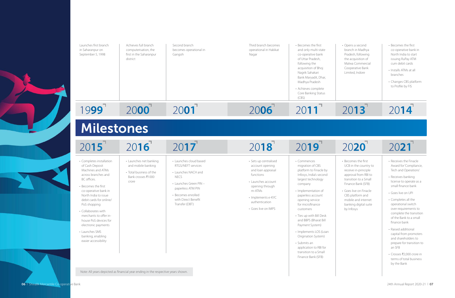20**13**

# 20**20**

# 20**14**

# 20**21**

![](_page_4_Picture_0.jpeg)

**06** Shivalik Mercantile Co-operative Bank

• Opens a second branch in Madhya Pradesh, following the acquisition of Malwa Commercial Cooperative Bank Limited, Indore

• Becomes the first UCB in the country to receive in-principle approval from RBI to transition to a Small Finance Bank (SFB)

• Goes live on Finacle CBS platform and mobile and internet banking digital suite by Infosys

- Becomes the first co-operative bank in North India to start issuing RuPay ATM cum debit cards
- Installs ATMs at all branches
- Changes CBS platform to Profile by FIS

- Receives the Finacle Award for 'Compliance, Tech and Operations'
- Receives banking license to operate as a small finance bank
- Goes live on UPI
- Completes all the operational switch over requirements to complete the transition of the Bank to a small finance bank
- Raised additional capital from promoters and shareholders to prepare for transition to an SFB
- Crosses ₹2,000 crore in terms of total business by the Bank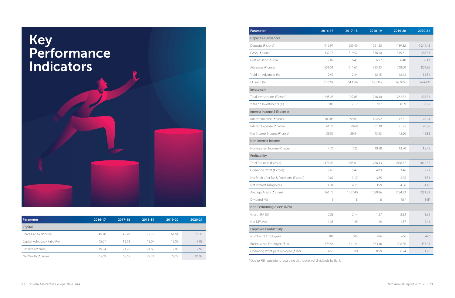![](_page_5_Picture_0.jpeg)

\*Due to RBI regulations regarding distribution of dividends by Bank

| <b>Parameter</b>           | 2016-17 | 2017-18 | 2018-19 | 2019-20 | 2020-21 |
|----------------------------|---------|---------|---------|---------|---------|
| Capital                    |         |         |         |         |         |
| Share Capital (₹ crore)    | 45.10   | 45.70   | 57.33   | 61.61   | 72.35   |
| Capital Adequacy Ratio (%) | 15.07   | 12.68   | 13.07   | 13.09   | 13.08   |
| Reserves (₹ crore)         | 19.94   | 21.25   | 21.69   | 17.08   | 17.92   |
| Net Worth (₹ crore)        | 65.69   | 65.65   | 77.21   | 79.27   | 91.93   |

| <b>Parameter</b>                            | 2016-17 | 2017-18 | 2018-19 | 2019-20                  | 2020-21    |
|---------------------------------------------|---------|---------|---------|--------------------------|------------|
| Deposits & Advances                         |         |         |         |                          |            |
| Deposits (₹ crore)                          | 916.97  | 953.40  | 1051.20 | 1139.82                  | 1,244.46   |
| CASA (₹ crore)                              | 332.76  | 319.52  | 336.10  | 319.31                   | 388.83     |
| Cost of Deposits (%)                        | 7.02    | 6.45    | 6.17    | 6.40                     | 6.11       |
| Advances (₹ crore)                          | 559.51  | 611.61  | 715.23  | 718.60                   | 804.86     |
| Yield on Advances (%)                       | 12.99   | 12.44   | 12.15   | 12.13                    | 11.84      |
| $CD$ ratio $(\%)$                           | 61.02%  | 64.15%  | 68.04%  | 63.05%                   | 64.68%     |
| Investment                                  |         |         |         |                          |            |
| Total Investments (₹ crore)                 | 245.28  | 227.85  | 246.30  | 262.82                   | 278.81     |
| Yield on Investments (%)                    | 8.86    | 7.12    | 7.87    | 8.09                     | 8.66       |
| Interest Income & Expenses                  |         |         |         |                          |            |
| Interest Income (₹ crore)                   | 100.85  | 99.03   | 104.92  | 117.31                   | 120.04     |
| Interest Expense (₹ crore)                  | 61.79   | 59.69   | 61.39   | 71.75                    | 70.86      |
| Net Interest Income (₹ crore)               | 39.06   | 39.34   | 43.53   | 45.56                    | 49.18      |
| Non-Interest Income                         |         |         |         |                          |            |
| Non-interest Income (₹ crore)               | 4.76    | 7.25    | 10.58   | 12.70                    | 15.45      |
| Profitability                               |         |         |         |                          |            |
| Total Business (₹ crore)                    | 1476.48 | 1565.01 | 1766.43 | 1858.42                  | 2049.32    |
| Operating Profit (₹ crore)                  | 17.63   | 5.47    | 4.83    | 3.46                     | 9.22       |
| Net Profit after Tax & Provisions (₹ crore) | 10.02   | 3.17    | 3.85    | 2.25                     | 3.31       |
| Net Interest Margin (%)                     | 4.34    | 4.15    | 3.99    | 4.06                     | 4.16       |
| Average Assets (₹ crore)                    | 961.72  | 1017.40 | 1089.86 | 1224.33                  | 1281.28    |
| Dividend (%)                                | 9       | 8       | 8       | $\mathbb{N}\mathbb{N}^*$ | $Ni$   $*$ |
| Non-Performing Assets (NPA)                 |         |         |         |                          |            |
| Gross NPA (%)                               | 2.29    | 2.14    | 1.57    | 2.83                     | 3.95       |
| Net NPA (%)                                 | 1.35    | 1.45    | 1.19    | 1.87                     | 2.41       |
| <b>Employee Productivity</b>                |         |         |         |                          |            |
| Number of Employees                         | 389     | 503     | 486     | 466                      | 470        |
| Business per Employee (₹ lac)               | 379.56  | 311.14  | 363.46  | 398.80                   | 436.03     |
| Operating Profit per Employee (₹ lac)       | 4.53    | 1.09    | 0.99    | 0.74                     | 1.96       |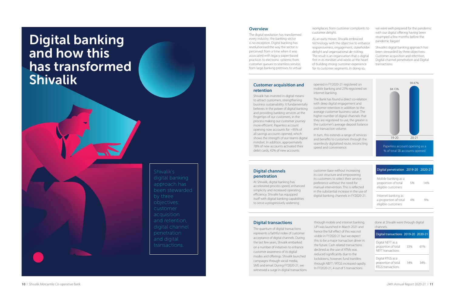# Digital banking and how this has transformed Shivalik

### **Overview**

The digital revolution has transformed every industry; the banking sector is no exception. Digital banking has revolutionised the way the sector is perceived: from a time when it was associated with legacy paper-based practices to electronic systems; from customer queues to seamless service; from large banking premises to virtual

#### workplaces; from customer complaints to customer delight.

As an early mover, Shivalik embraced technology with the objective to enhance responsiveness, engagement, stakeholder delight and organisational de-risking. The result is an organisation that is digital first in its mindset and works at the heart of building strong customer experience for its customer segments. In doing so,

we were well-prepared for the pandemic with our digital o ffering having been revamped a few months before the pandemic began!

Shivalik's digital banking approach has been stewarded by three objectives: Customer acquisition and retention, Digital channel penetration and Digital transactions.

![](_page_6_Figure_21.jpeg)

Paperless account opening as a % of total SB accounts opened

### **Customer acquisition and retention**

Shivalik has invested in digital means to attract customers, strengthening business sustainability. It fundamentally believes in the power of digital banking and providing banking services at the fingertips of our customers, in the process making our customer journey more e fficient. Paperless account opening now accounts for ~95% of all savings accounts opened, which shows the strength of our team's digital mindset. In addition, approximately 78% of new accounts activated their debit cards, 42% of new accounts

opened in FY2020-21 registered on mobile banking and 23% registered on internet banking.

through mobile and in UPI was launched in M hence the full e ffect of this was not visible in FY2020-21 but this to be a major tran the future. Cash relate declined as the use of reduced significantly lockdowns, however, through NEFT / RTGS In FY2020-21, 4 out of 5 transactions

The Bank has found a direct co-relation with deep digital engagement and customer retention in addition to the average customer business value. The higher number of digital channels that they are registered to use, the greater is the customer's average deposit balance and transaction volume.

In turn, this extends a range of services and benefits to customers through the seamlessly digitalised route, reconciling speed and convenience.

![](_page_6_Figure_22.jpeg)

Shivalik's approach has been stewarded by three customer acquisition and retention, digital channel penetration transactions.

### **Digital channels penetration**

At Shivalik, digital banking has accelerated process speed, enhanced simplicity and increased operating efficiency. Shivalik has equipped itself with digital banking capabilities to serve a progressively widening

customer base withou its cost structure and em its customers to select preference without the manual intervention. This is a in the substantial incre digital banking channel

| : increasing<br>mpowering<br>their service<br>need for<br>nis is reflected<br>ase in the use of<br>Is in FY2020-21. | Digital penetration 2019-20 2020-21                                |    |     |
|---------------------------------------------------------------------------------------------------------------------|--------------------------------------------------------------------|----|-----|
|                                                                                                                     | Mobile banking as a<br>proportion of total<br>eligible customers   | 5% | 14% |
|                                                                                                                     | Internet banking as<br>a proportion of total<br>eligible customers | 4% | 9%  |
|                                                                                                                     |                                                                    |    |     |

| iternet banking.  |
|-------------------|
| larch 2021 and    |
| f this was not    |
| ut we expect      |
| saction driver in |
| d transactions    |
| ATMs was          |
| lue to the        |
| und transfers     |
| ncreased rapidly. |
|                   |

### **Digital transactions**

The quantum of digital transactions represents a faithful index of customer acceptance of digital channels. During the last few years, Shivalik embarked on a number of initiatives to enhance customer awareness of its digital modes and o fferings. Shivalik launched campaigns through social media, SMS and email. During FY2020-21, we witnessed a surge in digital transactions done at Shivalik were through digital channels.

| Digital transactions 2019-20 2020-21                          |     |     |
|---------------------------------------------------------------|-----|-----|
| Digital NEFT as a<br>proportion of total<br>NEFT transactions | 33% | 61% |
| Digital RTGS as a<br>proportion of total<br>RTGS transactions | 14% | 34% |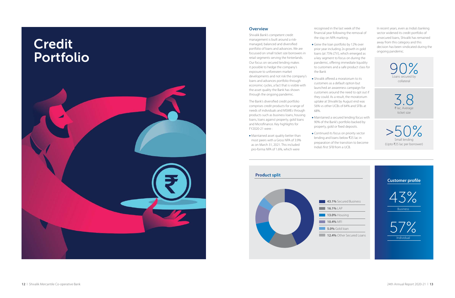![](_page_7_Picture_0.jpeg)

### **Overview**

Shivalik Bank's competent credit management is built around a riskmanaged, balanced and diversified portfolio of loans and advances. We are focussed on small ticket size borrowers in retail segments serving the hinterlands. Our focus on secured lending makes it possible to hedge the company's exposure to unforeseen market developments and not risk the company's loans and advances portfolio through economic cycles, a fact that is visible with the asset quality the Bank has shown through the ongoing pandemic.

The Bank's diversified credit portfolio comprises credit products for a range of needs of individuals and MSMEs through products such as business loans, housing loans, loans against property, gold loans and Microfinance. Key highlights for FY2020-21 were :

Maintained asset quality better than most peers with a Gross NPA of 3.9% as on March 31, 2021. This included pro-forma NPA of 1.6%, which were

recognised in the last week of the financial year following the removal of the stay on NPA marking.

> 90% Loans secured by collateral

> > 3.8 ₹ lac, Average ticket size

 $>50\%$ Small lending (Upto ₹25 lac per borrower)

|                           | <b>Customer profile</b> |
|---------------------------|-------------------------|
| ed Business               | <b>Business</b>         |
| ng<br>an<br>Secured Loans | Individual              |
|                           |                         |

- Grew the loan portfolio by 12% over prior year including 2x growth in gold loans (at 75% LTV), which emerged as a key segment to focus on during the pandemic, offering immediate liquidity to customers and a safe product class for the Bank
- Shivalik offered a moratorium to its customers as a default option but launched an awareness campaign for customers around the need to opt out if they could. As a result, the moratorium uptake at Shivalik by August end was 56% vs other UCBs of 64% and SFBs at 68%.
- Maintained a secured lending focus with 90% of the Bank's portfolio backed by property, gold or fixed deposits.
- India's first SFB from a UCB.

Continued its focus on priority sector lending and loans below ₹25 lac in preparation of the transition to become In recent years, even as India's banking sector widened its credit portfolio of unsecured loans, Shivalik has remained away from this category and this decision has been vindicated during the ongoing pandemic.

![](_page_7_Figure_10.jpeg)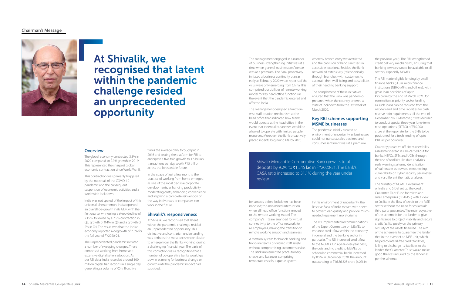The management engaged in a number of business-strengthening initiatives at a time when general business confidence was at a premium. The Bank proactively initiated a business continuity plan as early as February 2020 when reports of the ascertain their well-being and possibilities virus were only emerging from China; this comprised possibilities of remote working model for key head office functions in the event that the pandemic entered and affected India.

The management designed a functionwise staff rotation mechanism at the head office that indicated how teams would operate at the head office in the event that essential businesses would be allowed to operate with limited people resources. Moreover, the Bank proactively placed indents beginning March 2020

for laptops before lockdown has been imposed; this minimised interruption when all head office functions moved to the remote working model. The company's IT team arranged for virtual connectivity to the office network for all employees, making the transition to remote working smooth and seamless.

The RBI implemented recommendations of the Expert Committee on MSMEs to enhance credit flow within the economy in general and the banking sector in particular. The RBI increased credit flow to the MSMEs. On a year-over-year basis, the outstanding credit to MSMEs by scheduled commercial banks increased by 8.9% in December 2020, the amount outstanding at  $\bar{\bar{\xi}}$ 16,86,325 crore (6.2% in

A rotation system for branch banking and front-line teams prioritised staff safety without compromising customer service. The Bank implemented precautionary checks and balances comprising temperate checks, a queue system

The RBI made eligible lending by small finance banks (SFBs), micro finance institutions (NBFC-MFIs and others), with gross loan portfolios of up to ₹25 crore by the end of March 2021, for summation as priority sector lending as such loans can be reduced from the net demand and time liabilities for cash reserve ratio requirements till the end of December 2021. Moreover, it was decided to conduct special three-year long-term repo operations (SLTRO) of ₹10,000 crore at the repo rate, for the SFBs to be positioned for a fresh lending of upto ₹10 lac per borrower.

whereby branch entry was restricted and the provision of hand sanitisers in accessible locations. Besides, the Bank networked extensively (telephonically through branches) with customers to of their needing banking support.

The complement of these initiatives ensured that the Bank was pandemicprepared when the country entered a state of lockdown from the last week of March 2020.

### **Key RBI schemes supporting MSME businesses**

The pandemic initially created an environment of uncertainty as businesses could not transact, sales declined and consumer sentiment was at a premium.

> In this environment of uncertainty, the Reserve Bank of India moved with speed to protect loan quality and provide muchneeded repayment moratoriums.

The unprecedented pandemic initiated a number of sweeping changes. These comprised working from home and extensive digitalisation adoption. As per RBI data, India recorded around 100 million digital transactions in a single day, generating a volume of ₹5 trillion, five

the previous year). The RBI strengthened credit delivery mechanisms, ensuring that banking services would be available to all sectors, especially MSMEs.

Quarterly proactive off-site vulnerability assessment exercises are carried out for banks, NBFCs, SFBs and UCBs through the use of tool kits like data analytics, early warning systems, identification of vulnerable borrowers, stress testing, vulnerability on cyber security parameters and via different thematic analyses.

The Ministry of MSME, Government of India and SIDBI set up the Credit Guarantee Trust Fund for micro and small enterprises (CGTMSE) with a view to facilitate the flow of credit to the MSE sector without the need for collateral/ third party guarantee. The main objective of the scheme is for the lender to give significance to project viability and secure credit facility purely on the primary security of the assets financed. The aim of the scheme is to guarantee the lender that in the event of an MSE unit, which helped collateral-free credit facilities, failing to discharge its liabilities to the lender, the Guarantee Trust would make good the loss incurred by the lender as per the scheme.

### **Chairman's Message**

![](_page_8_Picture_1.jpeg)

# At Shivalik, we recognised that latent within the pandemic challenge resided an unprecedented opportunity

### **Overview**

The global economy contracted 3.3% in 2020 compared to 2.9% growth in 2019. This represented the sharpest global economic contraction since World War II.

This contraction was primarily triggered by the outbreak of the COVID-19 pandemic and the consequent suspension of economic activities and a worldwide lockdown.

India was not spared of the impact of this universal phenomenon. India reported an overall de-growth in its GDP, with the first quarter witnessing a steep decline of 23.9%, followed by a 7.5% contraction in Q2, growth of 0.4% in Q3 and a growth of 2% in Q4. The result was that the Indian economy reported a degrowth of 7.3% for the full year of FY2020-21.

times the average daily throughput in 2016 and setting the platform for RBI to anticipate a five-fold growth to 1.5 billion transactions per day worth  $\bar{\tau}$ 15 trillion across the foreseeable future.

In the space of just a few months, the practice of working from home emerged as one of the most decisive corporate developments, enhancing productivity, moderating costs, enhancing convenience and inspiring a complete reinvention of the way individuals or companies can work in the future.

### **Shivalik's responsiveness**

At Shivalik, we recognised that latent within the pandemic challenge resided an unprecedented opportunity. This distinctive and contrarian understanding was perhaps the most decisive conclusion to emerge from the Bank's working during a challenging financial year. The basis of this conviction was a recognition that a number of co-operative banks would go slow in planning for business change or growth until the pandemic impact had subsided.

Shivalik Mercantile Co-operative Bank grew its total deposits by 9.2% to  $\bar{\tau}$ 1,245 lac in FY2020-21. The Bank's CASA ratio increased to 31.1% during the year under review.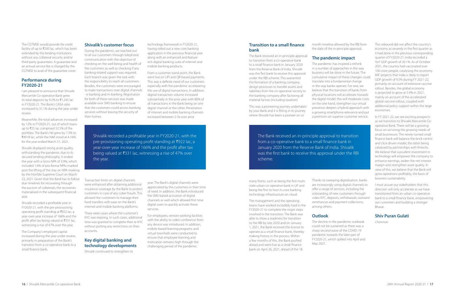The CGTMSE would provide for credit facility of up to  $\overline{\xi}$ 200 lac, which has been extended by the lending institutions without any collateral security and/or third-party guarantees. A guarantee and an annual service fee is charged by the CGTMSE to avail of the guarantee cover.

### **Performance during FY2020-21**

I am pleased to announce that Shivalik Mercantile Co-operative Bank grew its total deposits by 9.2% to  $\overline{5}1,245$  lac in FY2020-21. The Bank's CASA ratio increased to 31.1% during the year under review.

Meanwhile, the total advances increased by 12% in FY2020-21, out of which loans up to ₹25 lac comprised 52.5% of the portfolio. The Bank's NII grew by 7.3% to ₹4918 lac, while the NIM stood at 4.16% for the year ended March 31, 2021.

Shivalik displayed strong asset quality, withstanding the pandemic due to its secured lending philosophy. It ended the year with a Gross NPA of 3.9%, which included 1.6% of pro-forma NPAs marked post the lifting of the stay on NPA marking by the Hon'ble Supreme Court on March 23, 2021. Given that the Bank has to follow due timelines for recovering through the auction of collaterals, the recoveries materialised in the subsequent financial year.

Shivalik recorded a profitable year in FY2020-21, with the pre-provisioning operating profit standing at ₹922 lac, a year-over-year increase of 166% and the profit after tax being valued at ₹331 lac, witnessing a rise of 47% over the year.

The Company's employed capital increased during the year under review, primarily in preparation of the Bank's transition from a co-operative bank to a small finance bank.

### **Shivalik's customer focus**

During the pandemic, we reached out to all our customers through telephonic communication with the objective of checking on the well-being and health of the customers as well as checking if any banking related support was required. Each branch was given the task with the responsibility to reach all customers. Besides, the customers were encouraged to make transactions over digital channels - e-banking and m-banking. Registration for both of these services was made available over SMS banking to ensure that the customers could access banking services without leaving the security of their homes.

Transaction limits on digital channels were enhanced after obtaining additional insurance coverage by the Bank to protect customers in case of any cyber frauds. This allowed the customers to manage their fund transfers with ease on the Bank's internet and mobile banking platforms.

There were cases where the customer's KYC was expiring. In such cases, additional time was granted to complete their re-KYC without putting any restrictions on their accounts.

### **Key digital banking and technology developments**

Shivalik continued to strengthen its

technology framework in FY2020-21, having rolled out a new core banking application in the previous financial year along with an enhanced and featurerich digital banking suite of internet and mobile banking products.

From a customer stand point, the Bank went live on UPI and QR-based payments. This was a definite need of our customers especially with the pandemic accelerating the use of digital transactions. In addition, digitial transaction volume increased substantially in the prior year with 80% of all transactions in the Bank being on one digital channel or the other. Penetration of internet and mobile banking channels increased between 2-3x over prior

year. The Bank's digital channels were appreciated by the customers in their time of need. In addition, the Bank introduced the SMS-based activation of digital channels as well which allowed first time digital users to quickly activate these services.

For employees, remote working facilities with the ability to video conference from any device was introduced. In addition, mobile-based learning programs and virtual townhalls were conducted to ensure that employee learning and motivation remains high through the challenging period of the pandemic.

### **Transition to a small fnance bank**

The Bank received an in-principle approval to transition from a co-operative bank to a small finance bank in January 2020 from the Reserve Bank of India. Shivalik was the first bank to receive this approval under the RBI scheme. This warranted the formation of a banking company, design processes to transfer assets and liabilities from the co-operative society to the banking company after factoring all material factors (including taxation)

This was a pioneering journey undertaken by your Bank and it is fitting in its journey where Shivalik has been a pioneer on so

many fronts, such as being the first multistate urban co-operative bank in UP and being the first to host its core banking technology infrastructure on cloud.

The management and the operating teams have worked incredibly hard in the FY2020-21 to complete the major steps involved in the transition. The Bank was able to show a readiness for transition to the RBI by late 2020 and on January 1, 2021, the Bank received the license to operate as a small finance bank, thereby making history in the process. Within a few months of this, the Bank pushed ahead and went live as a small finance bank on April 26, 2021, ahead of the 18

month timeline allowed by the RBI from the date of the in-principle approval.

### **The pandemic impact**

The pandemic has inspired a rethink in a number of approaches in the way business will be done in the future. The cumulative impact of these changes could translate into a fundamental change in the way banks operate. For one, we believe that the transition of banks from physical locations will accelerate towards the digital model; this will moderate costs on the one hand, strengthen our virtual presence, deepen a hybrid approach with a growing smartphone relevance and put a premium on superior customer service.

Thanks to sweeping digitalisation, banks are increasingly using digital channels to offer a range of services, including the onboarding of new customers through video KYC, deposits, withdrawals, outward remittances and payment collections, among others.

### **Outlook**

The decline in the pandemic outbreak could not be sustained as there was a sharp second wave of the COVID-19 pandemic towards the later part of FY2020-21, which spilled into April and May 2021.

This rebound did not affect the country's economy as severely in the first quarter as it had done in the previous corresponding quarter of FY2020-21; India recorded a YoY GDP growth of 20.1%. As of October 2021, the country had vaccinated over 100 crore people, catalysing the economy. IMF projects that India is likely to report GDP growth of 9.5% during FY 2021-22, primarily on account of extensive vaccine rollout. Besides, the global economy is projected to grow at 5.9% in 2021, mainly on account of the accelerated global vaccine rollout, coupled with additional policy support within the large economies.

In FY 2021-22, we see exciting prospects as we transition to Shivalik Mercantile Cooperative Bank. There will be a growing focus on servicing the growing needs of small businesses. The newly-turned small finance bank will balance the brick-centric and click-driven model, the latter being catalysed by partnerships with fintechs. We believe that a prudent investment in technology will empower the company to enhance earnings, widen the net interest margin and strengthen asset quality. In view of this, we believe that the Bank will grow operations profitably, the basis of business sustainability.

I must assure our stakeholders that this direction will only accelerate as we have transitioned from an urban co-operative bank to a small finance bank, empowering our customers and building a stronger Bharat.

### **Shiv Puran Gulati**

*Chairman*

Shivalik recorded a profitable year in FY2020-21, with the pre-provisioning operating profit standing at  $\overline{\tau}$ 922 lac, a year-over-year increase of 166% and the profit after tax being valued at  $\overline{331}$  lac, witnessing a rise of 47% over the year.

The Bank received an in-principle approval to transition from a co-operative bank to a small finance bank in January 2020 from the Reserve Bank of India. Shivalik was the first bank to receive this approval under the RBI scheme.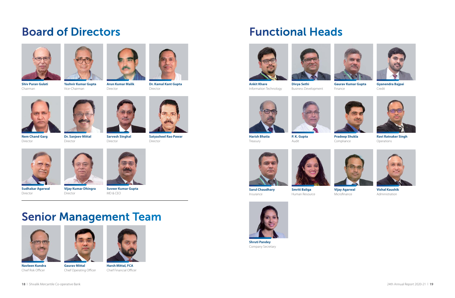**18** l Shivalik Mercantile Co-operative Bank 24th Annual Report 2020-21 l **19**

# Board of Directors

![](_page_10_Picture_1.jpeg)

![](_page_10_Picture_2.jpeg)

![](_page_10_Picture_3.jpeg)

![](_page_10_Picture_4.jpeg)

![](_page_10_Picture_5.jpeg)

# Senior Management Team

**Shiv Puran Gulati** Chairman

**Yashvir Kumar Gupta** Vice-Chairman

**Arun Kumar Malik** Director

![](_page_10_Picture_10.jpeg)

![](_page_10_Picture_11.jpeg)

**Nem Chand Garg**

Director

**Dr. Sanjeev Mittal** Director

![](_page_10_Picture_14.jpeg)

**Sarvesh Singhal** Director

![](_page_10_Picture_16.jpeg)

**Satyasheel Rao Pawar** Director

![](_page_10_Picture_18.jpeg)

**Sudhakar Agarwal** Director

![](_page_10_Picture_25.jpeg)

**Navleen Kundra** Chief Risk Officer

![](_page_10_Picture_20.jpeg)

**Vijay Kumar Dhingra** Director

![](_page_10_Picture_27.jpeg)

**Gaurav Mittal** Chief Operating Officer

![](_page_10_Picture_22.jpeg)

**Suveer Kumar Gupta** MD & CEO

![](_page_10_Picture_29.jpeg)

**Harsh Mittal, FCA** Chief Financial Officer

![](_page_10_Picture_31.jpeg)

![](_page_10_Picture_33.jpeg)

**Ankit Khare** Information Technology

**Sarul Chaudhary** Insurance

**Divya Sethi**

![](_page_10_Picture_32.jpeg)

**Smriti Baliga**

Business Development Finance

![](_page_10_Picture_36.jpeg)

![](_page_10_Picture_37.jpeg)

![](_page_10_Picture_50.jpeg)

**Gaurav Kumar Gupta**

![](_page_10_Picture_58.jpeg)

**Vijay Agarwal** Microfinance

![](_page_10_Picture_52.jpeg)

**Gyanendra Bajpai** Credit

Human Resource

![](_page_10_Picture_44.jpeg)

**Shruti Pandey** Company Secretary

![](_page_10_Picture_46.jpeg)

![](_page_10_Picture_47.jpeg)

![](_page_10_Picture_60.jpeg)

**Vishal Kaushik** Administration

**Harish Bhatia** Treasury

**P. K. Gupta**

![](_page_10_Picture_40.jpeg)

Audit

![](_page_10_Picture_54.jpeg)

**Pradeep Shukla** Compliance

![](_page_10_Picture_56.jpeg)

**Ravi Ratnaker Singh** Operations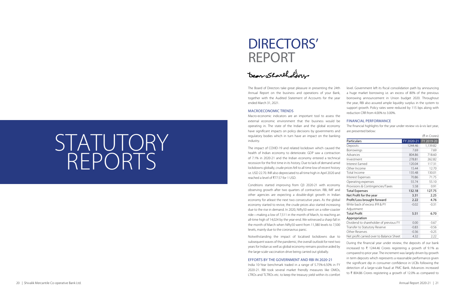# STATUTORY REPORTS

The Board of Directors take great pleasure in presenting the 24th Annual Report on the business and operations of your Bank, together with the Audited Statement of Accounts for the year ended March 31, 2021.

### MACROECONOMIC TRENDS

The impact of COVID-19 and related lockdown which caused the health of Indian economy to deteriorate. GDP saw a contraction of 7.1% in 2020-21 and the Indian economy entered a technical recession for the first time in its history. Due to lack of demand amid lockdowns globally, crude prices fell to all time low of recent history i.e. USD 22.70. INR also depreciated to all time high in April 2020 and reached a level of  $\overline{577.57}$  for 1 USD.

Macro-economic indicators are an important tool to assess the external economic environment that the business would be operating in. The state of the Indian and the global economy have significant impacts on policy decisions by governments and regulatory bodies which in turn have an impact on the banking industry.

Conditions started improving from Q3 2020-21 with economy observing growth after two quarters of contraction. RBI, IMF and other agencies are expecting a double-digit growth in Indian economy for atleast the next two consecutive years. As the global economy started to revive, the crude prices also started increasing due to the rise in demand. In 2020, Nifty50 went on a roller-coaster ride—making a low of 7,511 in the month of March, to reaching an all-time high of 14,024 by the year-end. We witnessed a sharp fall in the month of March when Nifty50 went from 11,380 levels to 7,500 levels, mainly due to the coronavirus panic.

> During the financial year under review, the deposits of our bank increased to  $\bar{\tau}$  1244.46 Crores registering a growth of 9.1% as compared to prior year. The increment was largely driven by growth in term deposits which represents a reasonable performance given the significant dip in consumer confidence in UCBs following the detection of a large-scale fraud at PMC Bank. Advances increased to  $\bar{\tau}$  804.86 Crores registering a growth of 12.0% as compared to

Notwithstanding the impact of localised lockdowns due to subsequent waves of the pandemic, the overall outlook for next two years for Indian as well as global economy remains positive aided by the large-scale vaccination drive being carried out globally.

### EFFORTS BY THE GOVERNMENT AND RBI IN 2020-21

India 10-Year benchmark traded in a range of 5.75%-6.50% in FY 2020-21. RBI took several market friendly measures like OMOs, LTROs and TLTROs etc. to keep the treasury yield within its comfort level. Government left its fiscal consolidation path by announcing a huge market borrowing i.e. an excess of 80% of the previous borrowing announcement in Union budget 2020. Throughout the year, RBI also assured ample liquidity surplus in the system to support growth. Policy rates were reduced by 115 bps along with reduction CRR from 4.00% to 3.00%.

### FINANCIAL PERFORMANCE

The financial highlights for the year under review vis-à-vis last year, are presented below:

|                                          |            | (₹ in Crores) |
|------------------------------------------|------------|---------------|
| Particulars                              | FY 2020-21 | FY 2019-20    |
| Deposits                                 | 1244.46    | 1,139.82      |
| Borrowings                               | 7.69       | 7.69          |
| Advances                                 | 804.86     | 718.60        |
| Investment                               | 278.81     | 262.82        |
| Interest Earned                          | 120.04     | 117.31        |
| Other Income                             | 15.44      | 12.70         |
| Total Income                             | 135.48     | 130.01        |
| Interest Expenses                        | 70.86      | 71.75         |
| Operating expenses                       | 55.74      | 55.10         |
| Provisions & Contingencies/Taxes         | 5.58       | 0.91          |
| <b>Total Expenses</b>                    | 132.18     | 127.75        |
| Net Profit for the year                  | 3.31       | 2.25          |
| Profit/Loss brought forward              | 2.22       | 4.76          |
| Write back of excess IFR & PY            | $-0.02$    | $-0.31$       |
| Adjustment                               |            |               |
| Total Profit                             | 5.51       | 6.70          |
| Appropriation                            |            |               |
| Dividend to shareholder of previous FY   | 0.00       | $-3.67$       |
| Transfer to Statutory Reserve            | $-0.83$    | $-0.56$       |
| Other Reserves                           | $-0.36$    | $-0.25$       |
| Net profit carried over to Balance Sheet | 4.32       | 2.22          |

# DIRECTORS' REPORT

Dear Shartholders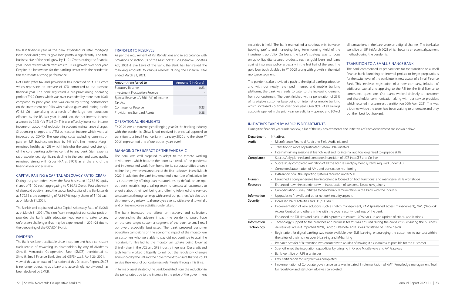the last financial year as the bank expanded its retail mortgage loans book and grew its gold loan portfolio significantly. The total business size of the bank grew by  $\bar{\xi}$  191 Crores during the financial year under review which translates to 10.3% growth over prior year. Despite the headwinds for the banking sector with the pandemic, this represents a strong performance.

Net Profit (after tax and provisions) has Increased to  $\bar{\tau}$  3.31 crore which represents an increase of 47% compared to the previous financial year. The bank registered a pre-provisioning operating profit of  $\bar{\tau}$  9.2 Crores which was over-exceeded by more than 100% compared to prior year. This was driven by strong performance on the investment portfolio with realised gains and trading profits  $(\bar{\zeta}$  6.1 Cr) materialising as a result of the large rate reductions effected by the RBI last year. In addition, the net interest income also rose by 7.3% YoY ( $\bar{\tau}$  3.6 Cr). This was offset by lower non interest income on account of reduction in account maintenance charges, SI bouncing charges and ATM transaction income which were all impacted by COVID. The operating costs excluding commission paid on MF business declined by 3% YoY. Net Interest Margin remained healthy at 4.2% which highlights the continued strength of the core banking activities central to any bank. Staff expense ratio experienced significant decline in the year and asset quality remained strong with Gross NPA at 3.95% as at the end of the financial year under review.

#### CAPITAL RAISING & CAPITAL ADEQUACY RATIO (CRAR)

During the year under review, the Bank has issued 10,73,335 equity shares of  $\bar{\tau}$  100 each aggregating to  $\bar{\tau}$  10.73 Crores. Post allotment of aforesaid equity shares, the subscribed capital of the Bank stands at ₹72.35 crore comprising of 72,34,746 equity shares of ₹100 each as on March 31, 2021.

The Bank is well capitalised with a Capital Adequacy Ratio of 13.08% as at March 31, 2021. The significant strength of our capital position provides the bank with adequate head room to cater to any unforeseen challenges that may be experienced in 2021-21 due to the deepening of the COVID-19 crisis.

### DIVIDEND

The Bank has been profitable since inception and has a consistent track record of rewarding its shareholders by way of dividends. Shivalik Mercantile Co-operative Bank (SMCB) transitioned to Shivalik Small Finance Bank Limited (SSFB) w.e.f. April 26, 2021. In view of this, as on date of finalisation of this Directors Report, SMCB is no longer operating as a bank and accordingly, no dividend has been declared by SMCB.

### TRANSFER TO RESERVES

As per the requirement of RBI Regulations and in accordance with provisions of section 63 of the Multi States Co-Operative Societies Act, 2002 & Bye Laws of the Bank, the Bank has transferred the following amounts to various reserves during the Financial Year ended March 31, 2021:

| Amount transferred to                    | Amount (₹ in Crore) |
|------------------------------------------|---------------------|
| <b>Statutory Reserve</b>                 | 0.83                |
| Investment Fluctuation Reserve           |                     |
| Special Reserve u/s 36(1)(vii) of Income |                     |
| Tax Act                                  |                     |
| Contingency Reserve                      | 0.33                |
| Provision on Standard Assets             | በ 38                |

### OPERATIONAL HIGHLIGHTS

FY 20-21 was an extremely challenging year for the banking industry with the pandemic. Shivalik had received in principal approval to transition to a Small Finance Bank in January 2020 and therefore FY 20-21 represented one of our busiest years ever!

### MANAGING THE IMPACT OF THE PANDEMIC

The bank was well prepared to adapt to the remote working environment which became the norm as a result of the pandemic and implemented work from home for its corporate office a week before the government announced the first lockdown in end March 2020. In addition, the bank implemented a number of initiatives for its customers by offering loan moratoriums by default on an optout basis, establishing a calling team to contact all customers to enquire about their well being and offering tele-medicine services to customers through a tie up with one of our partners. We also took this time to organise virtual employee events with several townhalls and online employee activities undertaken.

The bank increased the efforts on recovery and collections understanding the adverse impact the pandemic would have on the core target customer segment of the bank i.e small retail borrowers especially businesses. The bank prepared customer education campaigns on the economic impact of the moratorium so customers who were able to pay did not continue to avail the moratorium. This led to the moratorium uptake being lower at Shivalik than in the UCB and SFB industry in general. Our credit and tech teams worked diligently to roll out the regulatory changes announced by the RBI and the government to ensure that we could service the needs of our customers relentlessly through this time.

In terms of asset strategy, the bank benefited from the reduction in the policy rates due to the increase in the price of the government

securities it held. The bank maintained a cautious mix between booking profits and managing long term running yield of the investment portfolio. On loans, the bank's strategy was to focus on quick liquidity secured products such as gold loans and loans against insurance policy especially in the first half of the year. The gold loan book doubled in FY 20-21 along with growth in the retail mortgage segment.

The pandemic also provided a push to the digital banking adoption and with our newly revamped internet and mobile banking platforms, the bank was ready to cater to the increasing demand from our customers. The bank finished with a penetration of 23% of its eligible customer base being on internet or mobile banking which increased 2.5 times over prior year. Over 95% of all savings accounts opened in the prior year were digitally opened and 80% of all transactions in the bank were on a digital channel. The bank also went live on UPI in March 2021 which became an essential payment method during the pandemic.

### TRANSITION TO A SMALL FINANCE BANK

The bank commenced its preparations for the transition to a small finance bank launching an internal project to begin preparations for the switchover of the bank into its new avatar of a Small Finance Bank. This involved registration of a new company, infusion of additional capital and applying to the RBI for the final license to commence operations. Our teams worked tirelessly on customer and shareholder communication along with our service providers which resulted in a seamless transition on 26th April 2021. This was a journey which the team had been waiting to undertake and they put their best foot forward.

### INITIATIVES TAKEN BY VARIOUS DEPARTMENTS

During the financial year under review, a list of the key achievements and initiatives of each department are shown below:

| Department  | <b>Initiatives</b>                                                                                            |
|-------------|---------------------------------------------------------------------------------------------------------------|
| Audit       | Microfinance Financial Audit and Field Audit initiated                                                        |
|             | Transition to more sophisticated system RBIA initiated<br>$\bullet$                                           |
|             | Internal training sessions at branch level and for internal auditors organised to upgrade skills<br>$\bullet$ |
| Compliance  | Successfully planned and completed transition of UCB into SFB and Go-live<br>$\bullet$                        |
|             | Successfully completed migration of all the licenses and payment systems required under SFB<br>$\bullet$      |
|             | Completed automation of AML and transaction monitoring<br>$\bullet$                                           |
|             | Installation of all the reporting systems required under SFB<br>$\bullet$                                     |
| Human       | Launched a comprehensive training calendar focused on both functional and managerial skill<br>$\bullet$       |
| Resource    | Enhanced new hire experience with introduction of welcome kits to new joiners<br>$\bullet$                    |
|             | Compensation survey initiated to benchmark remuneration in the bank with the industry<br>$\bullet$            |
| Information | Upgrades to firewalls and other network security aspects<br>$\bullet$                                         |
| Security    | Increased VAPT activities and DC / DR drills<br>$\bullet$                                                     |
|             | Implementation of new solutions such as patch management, PAM (privileged access mana<br>$\bullet$            |
|             | Access Control) and others in line with the cyber security roadmap of the bank                                |
|             | Enhanced the DR sites and back up drills process to ensure 100% back up and uptime of critic                  |
| Information | Technology support to the branches and business teams was ensured during the covid crisi                      |
| Technology  | deliverables are not impacted. VPNs, Laptops, Remote Access was facilitated basis the needs                   |
|             | Registration for digital banking was made available over SMS banking, encouraging the custe<br>$\bullet$      |
|             | the safety of their homes over E-banking and M-banking                                                        |
|             | Preparedness for SFB transition was ensured with an idea of making it as seamless as possible<br>$\bullet$    |
|             | Strengthened the integration capabilities by bringing in Oracle Middleware and API Gateway<br>$\bullet$       |
|             | Bank went live on UPI as an issuer<br>$\bullet$                                                               |
|             | EMV certification for Recycler was completed<br>$\bullet$                                                     |
|             | Implementation of Corporate governance suite was initiated. Implementation of KMT (Knowl                      |
|             | for regulatory and statutory info) was completed                                                              |

|           | initiatives                                                                                                        |
|-----------|--------------------------------------------------------------------------------------------------------------------|
|           | Microfinance Financial Audit and Field Audit initiated                                                             |
|           | Transition to more sophisticated system RBIA initiated                                                             |
|           | Internal training sessions at branch level and for internal auditors organised to upgrade skills                   |
|           | Successfully planned and completed transition of UCB into SFB and Go-live                                          |
|           | Successfully completed migration of all the licenses and payment systems required under SFB                        |
|           | Completed automation of AML and transaction monitoring                                                             |
|           | Installation of all the reporting systems required under SFB                                                       |
|           | Launched a comprehensive training calendar focused on both functional and managerial skills workshops              |
|           | Enhanced new hire experience with introduction of welcome kits to new joiners                                      |
|           | Compensation survey initiated to benchmark remuneration in the bank with the industry                              |
|           | Upgrades to firewalls and other network security aspects                                                           |
|           | Increased VAPT activities and DC / DR drills                                                                       |
| $\bullet$ | Implementation of new solutions such as patch management, PAM (privileged access management), NAC (Network         |
|           | Access Control) and others in line with the cyber security roadmap of the bank                                     |
|           | Enhanced the DR sites and back up drills process to ensure 100% back up and uptime of critical applications.       |
|           | Technology support to the branches and business teams was ensured during the covid crisis, ensuring the business   |
|           | deliverables are not impacted. VPNs, Laptops, Remote Access was facilitated basis the needs                        |
| $\bullet$ | Registration for digital banking was made available over SMS banking, encouraging the customers to transact within |
|           | the safety of their homes over E-banking and M-banking                                                             |
| $\cdot$   | Preparedness for SFB transition was ensured with an idea of making it as seamless as possible for the customer     |
|           | Strengthened the integration capabilities by bringing in Oracle Middleware and API Gateway                         |
|           | Bank went live on UPI as an issuer                                                                                 |
|           | <b>FMV</b> certification for Recycler was completed                                                                |

vas initiated. Implementation of KMT (Knowledge management Tool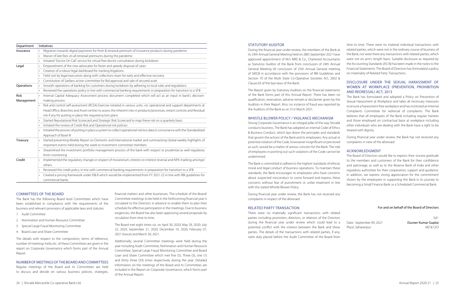| Department  | <b>Initiatives</b>                                                                                                             |
|-------------|--------------------------------------------------------------------------------------------------------------------------------|
| Insurance   | Migration towards digital payments for fresh & renewal premium of insurance products during pandemic                           |
|             | Waiver of late fees on all renewal premiums during the pandemic<br>$\bullet$                                                   |
|             | Initiated 'Doctor On Call' service for virtual free doctor consultation during lockdown                                        |
| Legal       | Empanelment of the new advocates for faster and speedy disposal of cases                                                       |
|             | Creation of a robust legal dashboard for tracking litigations<br>$\bullet$                                                     |
|             | Field visit by legal executives along with collections team for early and effective recovery<br>$\bullet$                      |
|             | Constitution of Sarfaesi action committee for Bid approval and sale of secured asset                                           |
| Operations  | Smooth operations of banking for customers during lockdown by adhering to local rules and regulations                          |
|             | Reviewed the operations policy in line with commercial banking requirements in preparation for transition to a SFB             |
| <b>Risk</b> | Internal Capital Adequacy Assessment process document completed which will act as an input in bank's decision-                 |
| Management  | making process                                                                                                                 |
|             | Risk and control self-assessment (RCSA) Exercise initiated in various units, viz. operational and support departments at       |
|             | Head Office, Branches and Asset centres to assess the inherent risks in products/processes, extant controls and Residual       |
|             | risk if any for putting in place the required action plans                                                                     |
|             | Started Reputational Risk Scorecard and Strategic Risk Scorecard to map these risk on a quarterly basis                        |
|             | Initiated the review of Credit Risk and Operational risk policies<br>$\bullet$                                                 |
|             | Initiated the process of putting in place a system to collect operational risk loss data in consonance with the Standardized   |
|             | Approach of Basel III                                                                                                          |
| Treasury    | Started presenting Weekly Report on Domestic and International market and summarizing Global weekly highlights of<br>$\bullet$ |
|             | important events held during the week to investment committee members                                                          |
|             | Streamlined the investment portfolio management process of the bank with respect to prudential as well regulatory              |
|             | limits monitoring                                                                                                              |
| Credit      | Implemented the regulatory changes in respect of moratorium, interest on interest reversal and NPA marking amongst             |
|             | others                                                                                                                         |
|             | Reviewed the credit policy in line with commercial banking requirements in preparation for transition to a SFB                 |
|             | Created a pricing framework under EBLR which would be implemented from FY 2021-22 in line with RBI quidelines for              |
|             | commercial banks                                                                                                               |

### COMMITTEES OF THE BOARD

The Bank has the following Board level Committees which have been established in compliance with the requirements of the business and relevant provisions of applicable laws and statutes:

- 1. Audit Committee
- 2. Nomination and Human Resource Committee
- 3. Special Large Fraud Monitoring Committee
- 4. Board Loan and Share Committee

The details with respect to the composition, terms of reference, number of meetings held, etc. of these Committees are given in the report on Corporate Governance which forms part of the Annual Report.

### NUMBER OF MEETINGS OF THE BOARD AND COMMITTEES

Regular meetings of the Board and its Committees are held to discuss and decide on various business policies, strategies,

financial matters and other businesses. The schedule of the Board/ Committee meetings to be held in the forthcoming financial year is circulated to the Directors in advance to enable them to plan their schedule for effective participation in the meetings. Due to business exigencies, the Board has also been approving several proposals by circulation from time to time.

The Board met eight times viz. on April 30, 2020; May 29, 2020; July 22, 2020; September 21, 2020; December 10, 2020; February 07, 2021 (twice) and March 30, 2021.

Additionally, several Committee meetings were held during the year including Audit Committee, Nomination and Human Resource Committee, Special Large Fraud Monitoring Committee and Board Loan and Share Committee which met five (5), Three (3), one (1) and thirty three (33) times respectively during the year. Detailed information on the meetings of the Board and its Committees are included in the Report on Corporate Governance, which forms part of the Annual Report.

Date: September 09, 2021 (Suveer Kumar Gupta) Place: Saharanpur *MD & CEO*

### STATUTORY AUDITOR

During the financial year under review, the members of the Bank at its 24th Annual General Meeting held on 28th September 2021 have approved appointment of M/s MRS & Co., Chartered Accountants as Statutory Auditor of the Bank from conclusion of 24th Annual General Meeting till conclusion of 25th Annual General meeting of SMCB in accordance with the provisions of RBI Guidelines and Section 70 of the Multi State Co-Operative Societies Act, 2002 & Clause 63 of the bye-laws of the Bank.

The Report given by Statutory Auditors on the financial statements of the Bank forms part of this Annual Report. There has been no qualification, reservation, adverse remark or disclaimer given by the Auditors in their Report. Also, no instance of fraud was reported by the Auditors of the Bank as on 31st March 2021.

### WHISTLE BLOWER POLICY / VIGILANCE MECHANISM

Strong Corporate Governance is an integral pillar of the way Shivalik conducts business. The Bank has adopted an internal Code of Ethics & Business Conduct, which lays down the principles and standards that govern the actions of the Bank and its employees. Any actual or potential violation of the Code, howsoever insignificant or perceived as such, would be a matter of serious concern for the Bank. The role of employees in pointing out such violations of the Code cannot be undermined.

The Bank is committed to adhere to the highest standards of ethical, moral and legal conduct of business operations. To maintain these standards, the Bank encourages its employees who have concerns about suspected misconduct to come forward and express these concerns without fear of punishment or unfair treatment in line with the stated Whistle Blower Policy.

During financial year under review, the Bank has not received any complaints in respect of the aforesaid.

### RELATED PARTY TRANSACTION

There were no materially significant transactions with related parties including promoters, directors, or relatives of the Directors during the financial year under review which could lead to a potential conflict with the interest between the Bank and these parties. The details of the transactions with related parties, if any, were duly placed before the Audit Committee of the Board from

time to time. There were no material individual transactions with related parties, which were not in the ordinary course of business of the Bank, nor were there any transactions with related parties, which were not on arm's length basis. Suitable disclosure as required by the Accounting Standards (AS18) has been made in the notes to the Financial Statements. The Board of Directors has formulated a policy on materiality of Related Party Transactions.

### DISCLOSURE UNDER THE SEXUAL HARASSMENT OF WOMEN AT WORKPLACE (PREVENTION, PROHIBITION AND REDRESSAL) ACT, 2013

The Bank has formulated and adopted a Policy on Prevention of Sexual Harassment at Workplace and takes all necessary measures to ensure a harassment-free workplace and has instituted an Internal Complaints Committee for redressal of complaints. The Bank believes that all employees of the Bank including regular trainees and those employed on contractual basis at workplace including other individuals who are dealing with the Bank have a right to be treated with dignity.

During financial year under review, the Bank has not received any complaints in view of the aforesaid.

### ACKNOWLEDGMENT

The Board of Directors would like to express their sincere gratitude to the members and customers of the Bank for their confidence and patronage, as well as to the Reserve Bank of India and other regulatory authorities for their cooperation, support and guidance. In addition, we express strong appreciation for the commitment shown by the employees in supporting the Bank in its journey to becoming a Small Finance Bank i.e a Scheduled Commercial Bank.

### For and on behalf of the Board of Directors

*Sd/-*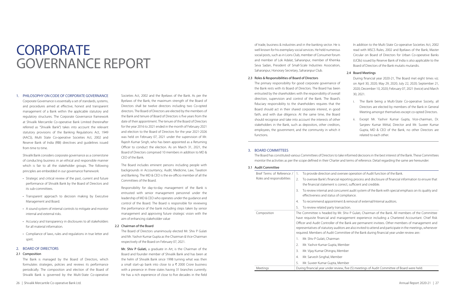# **CORPORATE** GOVERNANCE REPORT

#### 1. PHILOSOPHY ON CODE OF CORPORATE GOVERNANCE

Corporate Governance is essentially a set of standards, systems, and procedures aimed at effective, honest and transparent management of a Bank within the applicable statutory and regulatory structures. The Corporate Governance framework at Shivalik Mercantile Co-operative Bank Limited (hereinafter referred as "Shivalik Bank") takes into account the relevant statutory provisions of the Banking Regulations Act, 1949 (AACS), Multi State Co-operative Societies Act, 2002 and Reserve Bank of India (RBI) directives and guidelines issued from time to time.

Shivalik Bank considers corporate governance as a cornerstone of conducting business in an ethical and responsible manner which is fair to all the stakeholder groups. The following principles are embedded in our governance framework:

- Strategic and critical review of the past, current and future performance of Shivalik Bank by the Board of Directors and its sub-committees.
- Transparent approach to decision making by Executive Management and Board.
- A sound system of internal controls to mitigate and monitor internal and external risks.
- Accuracy and transparency in disclosures to all stakeholders for all material information.
- Compliance of laws, rules and regulations in true letter and spirit.

### 2. BOARD OF DIRECTORS

#### 2.1 Composition

The Bank is managed by the Board of Directors, which formulates strategies, policies and reviews its performance periodically. The composition and election of the Board of Shivalik Bank is governed by the Multi-State Co-operative

Societies Act, 2002 and the Byelaws of the Bank. As per the Byelaws of the Bank, the maximum strength of the Board of Directors shall be twelve directors including two Co-opted directors. The Board of Directors are elected by the members of the Bank and tenure of Board of Directors is five years from the date of their appointment. The tenure of the Board of Directors for the year 2016 to 2021 ended in the month of February 2021 and election to the Board of Directors for the year 2021-2026 was held on February 07, 2021 under the supervision of Mr. Rajesh Kumar Singh, who has been appointed as a Returning Officer to conduct the election. As on March 31, 2021, the Board of Directors comprised 10 members in addition to MD & CEO of the Bank.

The Board includes eminent persons including people with backgrounds in Accountancy, Audit, Medicine, Law, Taxation and Banking. The MD & CEO is the ex-officio member of all the Committees of the Board.

Responsibility for day-to-day management of the Bank is entrusted with senior management personnel under the leadership of MD & CEO who operates under the guidance and control of the Board. The Board is responsible for reviewing the performance of the bank including steps taken by senior management and approving future strategic vision with the aim of enhancing stakeholder value

### 2.2 Chairman of the Board

The Board of Directors unanimously elected Mr. Shiv P Gulati and Mr. Yashvir Kumar Gupta as the Chairman & Vice-Chairman respectively of the Board on February 07, 2021.

Mr. Shiv P Gulati, a graduate in Art, is the Chairman of the Board and founder member of Shivalik Bank and has been at the helm of Shivalik Bank since 1998 turning what was then a small start-up bank into close to a  $\bar{\tau}$  2000 Crore business with a presence in three states having 31 branches currently. He has a rich experience of close to five decades in the field

of trade, business & industries and in the banking sector. He is well known for his exemplary social services. He held numerous social posts, such as in Lions Club, member of Consumer forum and member of Lok Adalat, Saharanpur, member of Khemka Seva Sadan, President of Small-Scale Industries Association, Saharanpur, Honorary Secretary, Saharanpur Club.

#### 2.3 Roles & Responsibilities of Board of Directors

The primary responsibility for good corporate governance of the Bank rests with its Board of Directors. The Board has been entrusted by the shareholders with the responsibility of overall direction, supervision and control of the Bank. The Board's fiduciary responsibility to the shareholders requires that the Board should act in their shared corporate interest, in good faith, and with due diligence. At the same time, the Board should recognise and take into account the interests of other stakeholders in the Bank, such as depositors, other creditors, employees, the government, and the community in which it functions.

In addition to the Multi State Co-operative Societies Act, 2002 read with MSCS Rules, 2002 and Byelaws of the Bank, Master Circular on Board of Directors for Urban Co-operative Banks (UCBs) issued by Reserve Bank of India is also applicable to the Board of Directors of the Bank mutatis mutandis.

### 2.4 Board Meetings

During financial year 2020-21, The Board met eight times viz. on April 30, 2020; May 29, 2020; July 22, 2020; September 21, 2020; December 10, 2020; February 07, 2021 (twice) and March 30, 2021.

- i. The Bank being a Multi-State Co-operative Society, all Directors are elected by members of the Bank in General Meeting amongst themselves except co-opted Directors.
- ii. Except Mr. Yashvir Kumar Gupta, Vice-chairman, Dr. Sanjeev Kumar Mittal, Director and Mr. Suveer Kumar Gupta, MD & CEO of the Bank, no other Directors are related to each other.

ee operation of Audit function of the Bank.

prting process and disclosure of financial information to ensure that ect, sufficient and credible.

ent audit system of the Bank with special emphasis on its quality and pliance.

 $\mu$  removal of external/Internal auditors.

hiv P Gulati, Chairman of the Bank. All members of the Committee gement experience including a Chartered Accountant. Chief Risk Bank are permanent invitees. Other members of management and are also invited to attend and participate in the meetings, whenever ttee of the Bank during financial year under review are::

five (5) meetings of Audit Committee of Board were held.

### 3. BOARD COMMITTEES

The Board has constituted various Committees of Directors to take informed decisions in the best interest of the Bank. These Committees monitor the activities as per the scope defined in their Charter and terms of reference. Detail regarding the same are hereunder:

### 3.1 Audit Committee

| Brief Terms of Reference /<br>Roles and responsibilities |                                          | To provide direction and oversee o                                             |  |
|----------------------------------------------------------|------------------------------------------|--------------------------------------------------------------------------------|--|
|                                                          |                                          | To oversee Bank's financial reportin<br>the financial statement is correct, so |  |
|                                                          | 3.                                       | To review internal and concurrent a<br>effectiveness and status of complia     |  |
|                                                          | 4.                                       | To recommend appointment & ren                                                 |  |
|                                                          | 5.                                       | To review related party transaction.                                           |  |
| Composition                                              |                                          | The Committee is headed by Mr. Shiv F                                          |  |
|                                                          |                                          | have requisite financial and managem                                           |  |
|                                                          |                                          | Officer and Audit Controller of the Bank                                       |  |
|                                                          |                                          | representatives of statutory auditors are                                      |  |
|                                                          |                                          | required. Members of Audit Committee                                           |  |
|                                                          | 1.                                       | Mr. Shiv P Gulati, Chairman                                                    |  |
|                                                          | 2.                                       | Mr. Yashvir Kumar Gupta, Member                                                |  |
|                                                          | 3.                                       | Mr. Vijay Kumar Dhingra, Member                                                |  |
|                                                          | 4.                                       | Mr. Sarvesh Singhal, Member                                                    |  |
|                                                          | 5.                                       | Mr. Suveer Kumar Gupta, Member                                                 |  |
| Meetings                                                 | During financial year under review, five |                                                                                |  |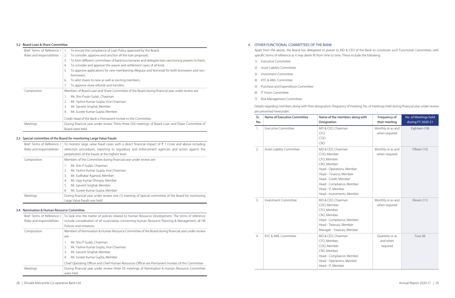### 3.2 Board Loan & Share Committee

| Brief Terms of Reference / | To ensure the compliance of Loan Policy approved by the Board;<br>$\overline{1}$ .                     |
|----------------------------|--------------------------------------------------------------------------------------------------------|
| Roles and responsibilities | To consider, approve and sanction all the loan proposals;<br>2.                                        |
|                            | To form different committees of bank functionaries and delegate loan sanctioning powers to them;<br>3. |
|                            | To consider and approve the waiver and settlement cases of all kind;<br>4.                             |
|                            | To approve applications for new membership (Regular and Nominal) for both borrowers and non-<br>5.     |
|                            | borrowers;                                                                                             |
|                            | To allot shares to new as well as existing members;<br>6.                                              |
|                            | To approve share refunds and transfers.                                                                |
| Composition                | Members of Board Loan and Share Committee of the Board during financial year under review are:         |
|                            | Mr. Shiv Puran Gulati, Chairman                                                                        |
|                            | Mr. Yashvir Kumar Gupta, Vice-Chairman<br>2.                                                           |
|                            | Mr. Sarvesh Singhal, Member<br>3.                                                                      |
|                            | Mr. Suveer Kumar Gupta, Member<br>4.                                                                   |
|                            | Credit Head of the Bank is Permanent Invitee to the Committee.                                         |
| Meetings                   | During financial year under review Thirty-three (33) meetings of Board Loan and Share Committee of     |
|                            | Board were held.                                                                                       |

### 3.3 Special committee of the Board for monitoring Large Value frauds

| Brief Terms of Reference / | To monitor large value fraud cases with a direct financial impact of $\bar{\xi}$ 1 Crore and above including |  |  |  |
|----------------------------|--------------------------------------------------------------------------------------------------------------|--|--|--|
| Roles and responsibilities | detection procedures, reporting to regulatory and enforcement agencies and action against the                |  |  |  |
|                            | perpetrators of the frauds at the highest level.                                                             |  |  |  |
| Composition                | Members of the Committee during financial year under review are:                                             |  |  |  |
|                            | Mr. Shiv P Gulati, Chairman                                                                                  |  |  |  |
|                            | Mr. Yashvir Kumar Gupta, Vice-Chairman                                                                       |  |  |  |
|                            | Mr. Sudhakar Agarwal, Member<br>3.                                                                           |  |  |  |
|                            | Mr. Vijay Kumar Dhingra, Member<br>4.                                                                        |  |  |  |
|                            | Mr. Sarvesh Singhal, Member<br>5.                                                                            |  |  |  |
|                            | Mr. Suveer Kumar Gupta, Member<br>6.                                                                         |  |  |  |
| Meetings                   | During financial year under review one (1) meeting of Special committee of the Board for monitoring          |  |  |  |
|                            | Large Value frauds was held.                                                                                 |  |  |  |

### 3.4 Nomination & Human Resource Committee

| Brief Terms of Reference / | To look into the matter of policies related to Human Resource Development. The terms of reference  |  |  |  |
|----------------------------|----------------------------------------------------------------------------------------------------|--|--|--|
| Roles and responsibilities | include consideration of all issues/areas concerning Human Resource Planning & Management, all HR  |  |  |  |
|                            | Policies and initiatives.                                                                          |  |  |  |
| Composition                | Members of Nomination & Human Resource Committee of the Board during financial year under review   |  |  |  |
|                            | are:                                                                                               |  |  |  |
|                            | Mr. Shiv P Gulati, Chairman                                                                        |  |  |  |
|                            | Mr. Yashvir Kumar Gupta, Vice-Chairman                                                             |  |  |  |
|                            | Mr. Sarvesh Singhal, Member<br>3.                                                                  |  |  |  |
|                            | Mr. Suveer Kumar Gupta, Member<br>4.                                                               |  |  |  |
|                            | Chief Operating Officer and Chief Human Resources Officer are Permanent Invitees of this Committee |  |  |  |
| Meetings                   | During financial year under review three (3) meetings of Nomination & Human Resource Committee     |  |  |  |
|                            | were held.                                                                                         |  |  |  |

### 4. OTHER FUNCTIONAL COMMITTEES OF THE BANK

Apart from the above, the Board has delegated its power to MD & CEO of the Bank to constitute such Functional Committees with specific terms of reference as it may deem fit from time to time. These include the following:

- 1) Executive Committee
- 2) Asset Liability Committee
- 3) Investment Committee
- 4) KYC & AML Committee
- 5) Purchase and Expenditure Committee
- 6) IT Vision Committee
- 7) Risk Management Committee

# are presented hereunder::

Details regarding members along with their designation, frequency of meeting, No. of meetings held during financial year under review

| Sr.<br>No.       | Name of Executive Committee | Name of the members along with<br>Designation                                                                                                                                                                                   | Frequency of<br>their meeting           | No. of Meetings held<br>during FY 2020-21 |
|------------------|-----------------------------|---------------------------------------------------------------------------------------------------------------------------------------------------------------------------------------------------------------------------------|-----------------------------------------|-------------------------------------------|
| $\overline{1}$ . | <b>Executive Committee</b>  | MD & CEO, Chairman<br><b>CFO</b><br>COO<br><b>CRO</b>                                                                                                                                                                           | Monthly or as and<br>when required      | Eighteen (18)                             |
| 2.               | Asset Liability Committee   | MD & CEO, Chairman<br>COO, Member<br>CFO, Member<br>CRO, Member<br>Head - Operations, Member<br>Head - Finance, Member<br>Head - Credit, Member<br>Head - Compliance, Member<br>Head - IT, Member<br>Head - Investments, Member | Monthly or as and<br>when required      | Fifteen (15)                              |
| 3.               | <b>Investment Committee</b> | MD & CEO, Chairman<br>COO, Member<br>CFO, Member<br>CRO, Member<br>Head - Compliance, Member<br>Head - Treasury, Member<br>Manager - Treasury, Member                                                                           | Monthly or as and<br>when required      | Eleven (11)                               |
| 4.               | KYC & AML Committee         | MD & CEO, Chairman<br>CFO, Member,<br>COO, Member<br>CRO, Member<br>Head - Compliance, Member<br>Head - Operations, Member<br>Head - IT, Member                                                                                 | Quarterly or as<br>and when<br>required | Four $(4)$                                |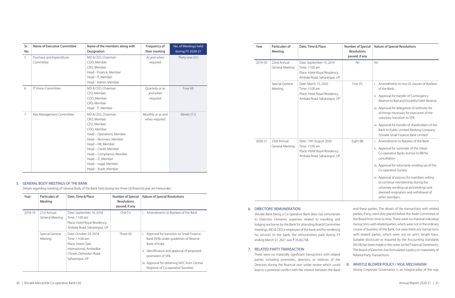| Sr.<br>No. | Name of Executive Committee | Name of the members along with<br>Designation | Frequency of<br>their meeting | No. of Meetings held<br>during FY 2020-21 |
|------------|-----------------------------|-----------------------------------------------|-------------------------------|-------------------------------------------|
|            |                             |                                               |                               |                                           |
| 5          | Purchase and Expenditure    | MD & CEO, Chairman                            | As and when                   | Thirty-one (31)                           |
|            | Committee                   | COO, Member                                   | required                      |                                           |
|            |                             | CRO, Member                                   |                               |                                           |
|            |                             | Head - Finance, Member                        |                               |                                           |
|            |                             | Head - IT, Member                             |                               |                                           |
|            |                             | Head - Admin, Member                          |                               |                                           |
| 6          | <b>IT Vision Committee</b>  | MD & CEO, Chairman                            | Quarterly or as               | Four $(4)$                                |
|            |                             | CFO, Member                                   | and when                      |                                           |
|            |                             | COO, Member                                   | required                      |                                           |
|            |                             | CRO, Member                                   |                               |                                           |
|            |                             | Head - IT, Member                             |                               |                                           |
| 7          | Risk Management Committee   | MD & CEO, Chairman                            | Monthly or as and             | Eleven (11)                               |
|            |                             | CRO, Member                                   | when required                 |                                           |
|            |                             | CFO, Member                                   |                               |                                           |
|            |                             | COO, Member                                   |                               |                                           |
|            |                             | Head - Operations, Member                     |                               |                                           |
|            |                             | Head - Recovery, Member                       |                               |                                           |
|            |                             | Head - HR, Member                             |                               |                                           |
|            |                             | Head - Credit, Member                         |                               |                                           |
|            |                             | Head - Compliance, Member                     |                               |                                           |
|            |                             | Head - IT, Member                             |                               |                                           |
|            |                             | Head - Legal, Member                          |                               |                                           |
|            |                             | Head - Audit, Member                          |                               |                                           |

|  | 5. GENERAL BODY MEETINGS OF THE BANK |  |
|--|--------------------------------------|--|
|  |                                      |  |

Details regarding meeting of General Body of the Bank held during last three (3) financial year are hereunder:

| Year    | Particulars of<br>Meeting      | Date, Time & Place                                                                                                                    | Number of Special<br><b>Resolutions</b><br>passed, if any | Nature of Special Resolutions                                                                                                                                                                                                                                     |
|---------|--------------------------------|---------------------------------------------------------------------------------------------------------------------------------------|-----------------------------------------------------------|-------------------------------------------------------------------------------------------------------------------------------------------------------------------------------------------------------------------------------------------------------------------|
| 2018-19 | 21st Annual<br>General Meeting | Date: September 16, 2018<br>Time: 11:00 am<br>Place: Hotel Royal Residency,<br>Ambala Road, Saharanpur, UP                            | One (1)                                                   | Amendments to Byelaws of the Bank<br>$\mathbf{L}$                                                                                                                                                                                                                 |
|         | Special General<br>Meeting     | Date: October 23, 2018<br>Time: 11t:00 am<br>Place: Hotel Clark<br>International, Ambedkar<br>Chowk, Dehradun Road,<br>Saharanpur, UP | Three (3)                                                 | Approval for transition to Small Finance<br>Bank (SFB) under guidelines of Reserve<br>Bank of India<br>Identification and approval of proposed<br>ii.<br>promoters of SFB.<br>iii. Approval for obtaining NOC from Central<br>Registrar of Co-operative Societies |

Shivalik Bank being a Co-operative Bank does not remunerate its Directors. However, expenses related to travelling and lodging are borne by the Bank for attending Board/Committee meetings. MD & CEO is employee of the bank and for rendering his services to the bank, the remuneration paid during FY ending March 31, 2021 was ₹ 35,60,738.

| Year    | Particulars of<br>Meeting      | Date, Time & Place                                                                                         | Number of Special<br><b>Resolutions</b><br>passed, if any | Nature of Special Resolutions                                                                                                                                                                                                                                                                                                                                                                                           |
|---------|--------------------------------|------------------------------------------------------------------------------------------------------------|-----------------------------------------------------------|-------------------------------------------------------------------------------------------------------------------------------------------------------------------------------------------------------------------------------------------------------------------------------------------------------------------------------------------------------------------------------------------------------------------------|
| 2019-20 | 22nd Annual<br>General Meeting | Date: September 15, 2019<br>Time: 11:00 am<br>Place: Hotel Royal Residency,<br>Ambala Road, Saharanpur, UP | Nil                                                       | Nil                                                                                                                                                                                                                                                                                                                                                                                                                     |
|         | Special General<br>Meeting     | Date: March 15, 2020<br>Time: 11:00 am<br>Place: Hotel Royal Residency,<br>Ambala Road, Saharanpur, UP     | Five $(5)$                                                | i. Amendments to two (2) clauses of Byelaws<br>of the Bank.<br>ii. Approval for transfer of Contingency<br>Reserve to Bad and Doubtful Debt Reserve<br>iii. Approval for delegation of authority for<br>all things necessary for execution of the<br>voluntary transition to SFB<br>iv. Approval for transfer of shareholders of the<br>Bank to Public Limited Banking Company<br>'Shivalik Small Finance Bank Limited' |
| 2020-21 | 23rd Annual<br>General Meeting | Date: 13th August 2020<br>Time: 11:00 am<br>Place: Hotel Royal Residency,<br>Ambala Road, Saharanpur, UP   | Eight (8)                                                 | i. Amendments to Byelaws of the Bank<br>ii. Approval for surrender of the Urban<br>Co-operative Banks license to RBI for<br>cancellation<br>iii. Approval for voluntarily winding-up of the<br>Co-operative Society.<br>iv. Approval of process for members willing<br>to continue membership during the<br>voluntary winding-up proceedings and<br>deemed resignation and withdrawal of<br>other members.              |

### 6. DIRECTORS' REMUNERATION

### 7. RELATED PARTY TRANSACTION

There were no materially significant transactions with related parties including promoters, directors, or relatives of the Directors during the financial year under review which could lead to a potential conflict with the interest between the Bank

and these parties. The details of the transactions with related parties, if any, were duly placed before the Audit Committee of the Board from time to time. There were no material individual transactions with related parties, which were not in the ordinary course of business of the Bank, nor were there any transactions with related parties, which were not on arm's length basis. Suitable disclosure as required by the Accounting Standards (AS18) has been made in the notes to the Financial Statements. The Board of Directors has formulated a policy on materiality of Related Party Transactions

### 8. WHISTLE BLOWER POLICY / VIGIL MECHANISM

Strong Corporate Governance is an integral pillar of the way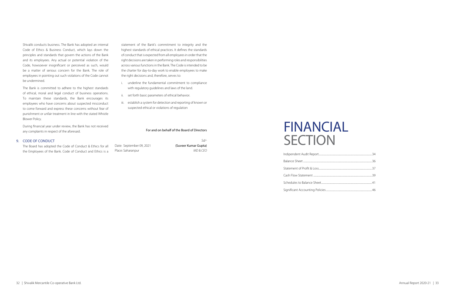Shivalik conducts business. The Bank has adopted an internal Code of Ethics & Business Conduct, which lays down the principles and standards that govern the actions of the Bank and its employees. Any actual or potential violation of the Code, howsoever insignificant or perceived as such, would be a matter of serious concern for the Bank. The role of employees in pointing out such violations of the Code cannot be undermined.

The Board has adopted the Code the Employees of the Bank. Code of Conduct and Ethics is a

The Bank is committed to adhere to the highest standards of ethical, moral and legal conduct of business operations. To maintain these standards, the Bank encourages its employees who have concerns about suspected misconduct to come forward and express these concerns without fear of punishment or unfair treatment in line with the stated Whistle Blower Policy.

During financial year under review, the Bank has not received any complaints in respect of the aforesaid.

# FINANCIAL **SECTION**

### 9. CODE OF CONDUCT

statement of the Bank's commitment to integrity and the highest standards of ethical practices. It defines the standards of conduct that is expected from all employees in order that the right decisions are taken in performing roles and responsibilities across various functions in the Bank. The Code is intended to be the charter for day-to-day work to enable employees to make the right decisions and, therefore, serves to:

- i. underline the fundamental commitment to compliance with regulatory guidelines and laws of the land.
- ii. set forth basic parameters of ethical behavior.
- iii. establish a system for detection and reporting of known or suspected ethical or violations of regulation

### For and on behalf of the Board of Directors

|                             |                          | $Sd/-$               |
|-----------------------------|--------------------------|----------------------|
| of Conduct & Ethics for all | Date: September 09, 2021 | (Suveer Kumar Gupta) |
| of Conduct and Ethics is a  | Place: Saharanpur        | MD & CFO             |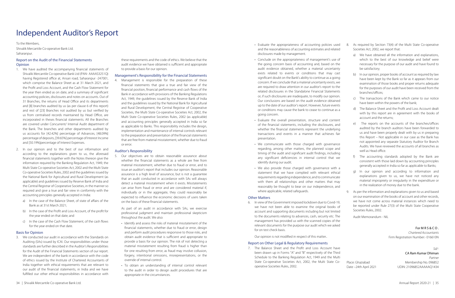# Independent Auditor's Report

### Report on the Audit of the Financial Statements **Opinion**

To the Members,

Shivalik Mercantile Co-operative Bank Ltd. Saharanpur.

- 1. We have audited the accompanying financial statements of Shivalik Mercantile Co-operative Bank Ltd (PAN- AAAAS3251Q) having Registered office at, Ansari road, Saharanpur -247001, which comprise the Balance Sheet as at 31 March 2021, and the Profit and Loss Account, and the Cash Flow Statement for the year then ended as on date, and a summary of significant accounting policies, disclosures and notes on accounts. Out of 31 Branches, the returns of Head Office and its departments and [8] branches audited by us (as per clause 6 of this report) and rest of [23] Branches not audited by us but verified by us from centralised records maintained by Head Office, are incorporated in theses financial statements. All the Branches are covered under Concurrent/ Internal Audit department of the Bank. The branches and other departments audited by us accounts for [42.42%] percentage of Advances, [48.09%] percentage of deposits, [39.65%] percentage of Interest Income and [50.19%]percentage of Interest Expenses.
- 2. In our opinion and to the best of our information and according to the explanations given to us, the aforesaid financial statements together with the Notes thereon give the information required by the Banking Regulation Act, 1949, the Multi State Co-operative Societies Act, 2002 and the Multi State Co-operative Societies Rules, 2002 and the guidelines issued by the National Bank for Agricultural and Rural Development (as applicable) and guidelines issued by Reserve Bank of India and the Central Registrar of Cooperative Societies, in the manner so required and give a true and fair view in conformity with the accounting principles generally accepted in India:
	- a) In the case of the Balance Sheet, of state of affairs of the Bank as at 31st March 2021;
	- b) In the case of the Profit and Loss Account, of the profit for the year ended on that date; and
	- c) In the case of the Cash Flow Statement, of the cash flows for the year ended on that date.

### Basis for Opinion

3. We conducted our audit in accordance with the Standards on Auditing (SAs) issued by ICAI. Our responsibilities under those standards are further described in the Auditor's Responsibilities for the Audit of the Financial Statements section of our report. We are independent of the bank in accordance with the code of ethics issued by the Institute of Chartered Accountants of India together with ethical requirements that are relevant to our audit of the financial statements, in India and we have fulfilled our other ethical responsibilities in accordance with

these requirements and the code of ethics. We believe that the audit evidence we have obtained is sufficient and appropriate to provide a basis for our opinion.

### Management's Responsibility for the Financial Statements

4. Management is responsible for the preparation of these financial statements that give a true and fair view of the financial position, financial performance and cash flows of the Bank in accordance with provisions of the Banking Regulations Act, 1949, the guidelines issued by the Reserve Bank of India and the quidelines issued by the National Bank for Agricultural and Rural Development, the Central Registrar of Cooperative Societies, the Multi State Co-operative Societies Act, 2002, the Multi State Co-operative Societies Rules, 2002 (as applicable) and accounting principles generally accepted in India so far as applicable to Banks. This responsibility includes the design, implementation and maintenance of internal controls relevant to the preparation and presentation of the financial statements that are free from material misstatement, whether due to fraud or error.

### Auditor's Responsibility

5. Our objectives are to obtain reasonable assurance about whether the financial statements as a whole are free from material misstatement, whether due to fraud or error, and to issue an auditor's report that includes our opinion. Reasonable assurance is a high level of assurance, but is not a guarantee that an audit conducted in accordance with SAs will always detect a material misstatement when it exists. Misstatements can arise from fraud or error and are considered material if, individually or in the aggregate, they could reasonably be expected to influence the economic decisions of users taken on the basis of these financial statements.

As part of an audit in accordance with SAs, we exercise professional judgment and maintain professional skepticism throughout the audit. We also:

- Identify and assess the risks of material misstatement of the financial statements, whether due to fraud or error, design and perform audit procedures responsive to those risks, and obtain audit evidence that is sufficient and appropriate to provide a basis for our opinion. The risk of not detecting a material misstatement resulting from fraud is higher than for one resulting from error, as fraud may involve collusion, forgery, intentional omissions, misrepresentations, or the override of internal control.
- To obtain an understanding of internal control relevant to the audit in order to design audit procedures that are appropriate in the circumstances.
- Evaluate the appropriateness of accounting policies used and the reasonableness of accounting estimates and related disclosures made by management.
- Conclude on the appropriateness of management's use of the going concern basis of accounting and, based on the audit evidence obtained, whether a material uncertainty exists related to events or conditions that may cast significant doubt on the Bank's ability to continue as a going concern. If we conclude that a material uncertainty exists, we are required to draw attention in our auditor's report to the related disclosures in the Standalone Financial Statements or, if such disclosures are inadequate, to modify our opinion. Our conclusions are based on the audit evidence obtained up to the date of our auditor's report. However, future events or conditions may cause the bank to cease to continue as a going concern.
- Evaluate the overall presentation, structure and content of the financial statements, including the disclosures, and whether the financial statements represent the underlying transactions and events in a manner that achieves fair presentation.
- We communicate with those charged with governance regarding, among other matters, the planned scope and timing of the audit and significant audit findings, including any significant deficiencies in internal control that we identify during our audit.
- We also provide those charged with governance with a statement that we have complied with relevant ethical requirements regarding independence, and to communicate with them all relationships and other matters that may reasonably be thought to bear on our independence, and where applicable, related safeguards.

### Other Matters

6. In view of the Government imposed lockdown due to Covid-19, we have not been able to examine the original books of account and supporting documents including but not limited to the documents relating to advances, cash, security etc. The management has provided us with the scanned copies of the relevant documents for the purpose our audit which we asked for on test check basis.

Our opinion is not modified in respect of this matter..

### Report on Other Legal & Regulatory Requirements

7. The Balance Sheet and the Profit and Loss Account have been drawn up in Forms "A" and "B" respectively of the Third Schedule to the Banking Regulation Act, 1949 and the Multi State Co-operative Societies Act, 2002, the Multi State Cooperative Societies Rules, 2002.

- 8. As required by Section 73(4) of the Multi State Co-operative Societies Act, 2002, we report that:
	- a) We have obtained all the information and explanations, which to the best of our knowledge and belief were necessary for the purpose of our audit and have found to be satisfactory;
	- b) In our opinion, proper books of account as required by law have been kept by the Bank so far as it appears from our examination of those books and proper returns adequate for the purposes of our audit have been received from the branches/offices;
	- c) The transactions of the Bank which came to our notice have been within the powers of the bank;
	- d) The Balance Sheet and the Profit and Loss Account dealt with by this report are in agreement with the books of account and the returns;
	- e) The reports on the accounts of the branches/offices audited by the branch auditors have been forwarded to us and have been properly dealt with by us in preparing this Report – Not applicable in our case as the Bank has not appointed any separate Statutory Auditor for Branch Audits. We have reviewed the accounts of all branches as well as Head office.
	- f) The accounting standards adopted by the Bank are consistent with those laid down by accounting principles generally accepted in India so far as applicable to Banks;
	- g) In our opinion and according to information and explanations given to us, we have not noticed any material impropriety or irregularity in the expenditure or in the realization of money due to the bank.
- 9. As per the information and explanations given to us and based on our examination of the books of account and other records, we have not come across material instances which need to be reported under Rule 27(3) of the Multi State Cooperative Societies Rules, 2002.

Audit Memorandum - NIL

### For MRS&CO.

*Chartered Accountants* Firm Registration Number:- 016610N

### *Sd/-*

### CA Ram Kumar Dhiman

*Partner* Place: Ghaziabad Membership No. 096852 Date –24th April 2021 UDIN: 21096852AAAAAQ1434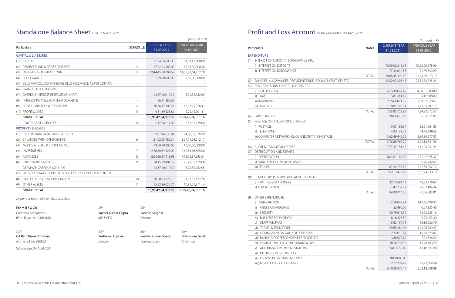## Standalone Balance Sheet as at 31 March, 2021

|     |                                                           |                     |                                   | (Amount in ₹)                      |
|-----|-----------------------------------------------------------|---------------------|-----------------------------------|------------------------------------|
|     | <b>Particulars</b>                                        | <b>SCHEDULE</b>     | <b>CURRENT YEAR</b><br>31.03.2021 | <b>PREVIOUS YEAR</b><br>31.03.2020 |
|     | <b>CAPITAL &amp; LIABILITIES</b>                          |                     |                                   |                                    |
| (1) | <b>CAPITAI</b>                                            | $\mathbf{1}$        | 72,34,74,600.00                   | 61,61,41,100.00                    |
| (2) | RESERVE FUND & OTHER RESERVES                             | $\overline{2}$      | 17,92,23,168.00                   | 17,08,00,900.50                    |
| (3) | <b>DEPOSITS &amp; OTHER ACCOUNTS</b>                      | 3                   | 12,44,45,58,304.67                | 11,39,81,64,312.79                 |
| (4) | <b>BORROWINGS</b>                                         |                     | 7,69,00,000.00                    | 7,69,00,000.00                     |
| (5) | BILLS FOR COLLECTION BEING BILLS RECEIVABLE AS PER CONTRA |                     |                                   |                                    |
| (6) | <b>BRANCH ADJUSTMENTS</b>                                 | $\overline{a}$      |                                   |                                    |
| (7) | OVERDUE INTEREST RESERVES (ON NPA)                        |                     | 13,67,40,019.39                   | 8,71,35,982.05                     |
| (8) | INTEREST PAYABLE (ON TERM DEPOSITS)                       |                     | 66,11,280.69                      |                                    |
| (9) | OTHER LIABILITIES & PROVISIONS                            | $\overline{4}$      | 30, 36, 17, 109. 27               | 18,13,15,916.41                    |
|     | (10) PROFIT & LOSS                                        | 5                   | 4,31,69,525.81                    | 2,22,15,901.41                     |
|     | <b>GRAND TOTAL</b>                                        |                     | 13,91,42,94,007.83                | 12,55,26,74,113.16                 |
|     | CONTINGENT I JABILITIES                                   | 12                  | 2,17,56,217.00                    | 2,53,91,139.00                     |
|     | <b>PROPERTY &amp; ASSETS</b>                              |                     |                                   |                                    |
| (1) | CASH IN HAND & BALANCE WITH RBI                           |                     | 33,07,16,533.81                   | 24,63,02,376.90                    |
| (2) | <b>BAI ANCES WITH OTHER BANKS</b>                         | 6                   | 1,81,02,25,785.24                 | 1,67,71,94,512.17                  |
| (3) | MONEY AT CALL & SHORT NOTICE                              |                     | 19.00.00.000.00                   | 12,00,00,000.00                    |
| (4) | <b>INVESTMENTS</b>                                        | 7                   | 2,78,80,64,328.00                 | 2,62,81,66,305.00                  |
| (5) | <b>ADVANCES</b>                                           | 8                   | 8,04,86,37,918.93                 | 7,18,59,87,945.51                  |
| (6) | <b>INTEREST RECEIVABLE</b>                                | 9                   | 28,15,59,484.39                   | 20,71,55,129.68                    |
|     | OF WHICH OVERDUE (ON NPA)                                 |                     | 13,67,40,019.39                   | 8,71,35,982.05                     |
| (7) | BILLS RECEIVABLE BEING BILLS FOR COLLECTION AS PER CONTRA | $\bar{\phantom{a}}$ |                                   |                                    |
| (8) | FIXED ASSETS LESS DEPRECIATION                            | 10                  | 30,58,03,929.70                   | 31,97,17,472.76                    |
| (9) | <b>OTHER ASSETS</b>                                       | 11                  | 15,92,86,027.76                   | 16,81,50,371.14                    |
|     | <b>GRAND TOTAL</b>                                        |                     | 13,91,42,94,007.83                | 12,55,26,74,113.16                 |

### As per our report of even date attached

For M R S & Co. *Sd/- Sd/-* Chartered Accountants **Suveer Kumar Gupta** Sarvesh Singhal (Firm Regn. No. 016610N) *MD & CEO Director*

CA Ram Kumar Dhiman Namar Sudhakar Agarwal Yashvir Kumar Gupta Shiv Puran Gulati

*Sd/- Sd/- Sd/- Sd/- Partner (M. No. 096852) Director Vice Chairman Chairman*

# Profit and Loss Account for the year ended 31 March, 2021

Saharanpur: 24 April, 2021

|     |                                                             | (Amount in ₹) |                                   |                             |  |
|-----|-------------------------------------------------------------|---------------|-----------------------------------|-----------------------------|--|
|     | Particulars                                                 | <b>Notes</b>  | <b>CURRENT YEAR</b><br>31.03.2021 | PREVIOUS YEAR<br>31.03.2020 |  |
|     | <b>EXPENDITURE</b>                                          |               |                                   |                             |  |
| (1) | INTEREST ON DEPOSITS, BORROWINGS ETC.                       |               |                                   |                             |  |
|     | i) INTEREST ON DEPOSITS                                     |               | 70,09,06,349.63                   | 70,92,00,278.96             |  |
|     | ii) INTEREST ON BORROWINGS                                  |               | 77,39,044.55                      | 82,79,639.23                |  |
|     |                                                             | <b>TOTAL</b>  | 70,86,45,394.18                   | 71,74,79,918.19             |  |
| (2) | SALARIES, ALLOWANCES, PROVIDENT FUND, BONUS & GRATUITY ETC. |               | 23,52,93,303.45                   | 25,52,83,725.34             |  |
| (3) | RENT, TAXES, INSURANCE, LIGHTING ETC.                       |               |                                   |                             |  |
|     | i) BUILDING RENT                                            |               | 4,23,38,092.49                    | 4,38,51,388.88              |  |
|     | ii) TAXES                                                   |               | 3,81,361.89                       | 4,12,808.00                 |  |
|     | iii) INSURANCE                                              |               | 2,16,64,071.19                    | 1,69,62,628.57              |  |
|     | iv) LIGHTING                                                |               | 1,10,02,198.31                    | 1,22,55,687.12              |  |
|     |                                                             | <b>TOTAL</b>  | 7,53,85,723.88                    | 7,34,82,512.57              |  |
| (4) | <b>LAW CHARGES</b>                                          |               | 28,69,618.06                      | 35,53,511.03                |  |
| (5) | POSTAGE AND TELEPHONE CHARGES                               |               |                                   |                             |  |
|     | i) POSTAGE                                                  |               | 10,05,183.87                      | 12,51,264.85                |  |
|     | ii) TELEPHONE                                               |               | 4,34,133.78                       | 4,73,299.66                 |  |
|     | iii) COMPUTER NETWORKING, CONNECTIVITY & HOSTAGE            |               | 3,62,49,449.55                    | 2,84,89,277.05              |  |
|     |                                                             | <b>TOTAL</b>  | 3,76,88,767.20                    | 3,02,13,841.56              |  |
| (6) | AUDIT & CONSULTANCY FEES                                    |               | 7,77,37,151.47                    | 5,11,00,231.44              |  |
| (7) | DEPRECIATION AND REPAIRS                                    |               |                                   |                             |  |
|     | i) DEPRECIATION                                             |               | 6,04,81,184.00                    | 5,85,42,095.37              |  |
|     | ii) WRITTEN OFF/IMPAIRED ASSETS                             |               |                                   | 6,76,242.65                 |  |
|     | iii) REPAIRS                                                |               | 1,87,32,233.82                    | 1,65,56,292.17              |  |
|     |                                                             | <b>TOTAL</b>  | 7,92,13,417.82                    | 7,57,74,630.19              |  |
| (8) | STATIONERY, PRINTING AND ADVERTISEMENT                      |               |                                   |                             |  |
|     | i) PRINTING & STATIONERY                                    |               | 32,73,684.13                      | 48,23,779.47                |  |
|     | ii) ADVERTISEMENT                                           |               | 51,47,232.22                      | 28,83,104.34                |  |
|     |                                                             | <b>TOTAL</b>  | 84,20,916.35                      | 77,06,883.81                |  |
| (9) | OTHER EXPENDITURE                                           |               |                                   |                             |  |
|     | <b>SUBSCRIPTION</b><br>i)                                   |               | 1,12,59,043.84                    | 1,10,66,609.33              |  |
|     | ii) AGM & CONFERENCE                                        |               | 52,490.00                         | 6,07,325.40                 |  |
|     | iii) SECURITY                                               |               | 90,79,618.50                      | 92,22,925.16                |  |
|     | iv) BUSINESS PROMOTION                                      |               | 8,16,326.50                       | 9,25,453.40                 |  |
|     | STAFF WELFARE<br>V)                                         |               | 15,62,157.75                      | 56,16,926.79                |  |
|     | vi) TRAVEL & TRANSPORT                                      |               | 59,65,384.06                      | 1,23,76,289.47              |  |
|     | vii) COMMISSION ON DAILY DEPOSIT/DSA                        |               | 2,74,010.87                       | 19,66,523.07                |  |
|     | viii) BANKING CORRESPONDENT EXPENDITURE                     |               | 3,88,922.60                       | 7,24,346.53                 |  |
|     | ix) CHARGES PAID TO OTHER BANKS & NPCI                      |               | 30,50,234.59                      | 19,78,403.74                |  |
|     | AMORTIZATION ON INVESTMENTS<br>X)                           |               | 34,83,559.00                      | 41,10,691.00                |  |
|     | xi) INTEREST ON INCOME TAX                                  |               |                                   |                             |  |
|     | xii) PROVISION ON STANDARD ASSETS                           |               | 38,00,000.00                      |                             |  |
|     | xiii) MISCELLANEOUS EXPENSES                                |               | 12,77,224.43                      | 22,22,604.59                |  |
|     |                                                             | <b>TOTAL</b>  | 4,10,08,972.14                    | 5,08,18,098.48              |  |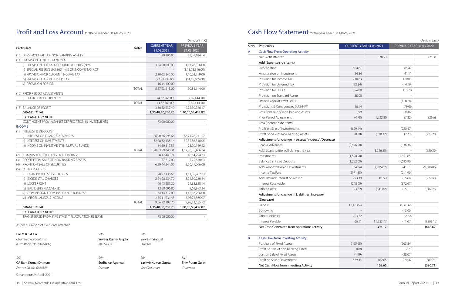## Profit and Loss Account for the year ended 31 March, 2020

|     |                                                       |              |                     | (Amount in ₹)               |  |
|-----|-------------------------------------------------------|--------------|---------------------|-----------------------------|--|
|     |                                                       |              | <b>CURRENT YEAR</b> | PREVIOUS YEAR<br>31.03.2020 |  |
|     | <b>Particulars</b>                                    | <b>Notes</b> | 31.03.2021          |                             |  |
|     | (10) LOSS FROM SALE OF NON-BANKING ASSETS             |              | 1,99,296.80         | 38,07,184.14                |  |
|     | (11) PROVISIONS FOR CURRENT YEAR                      |              |                     |                             |  |
|     | i) PROVISION FOR BAD & DOUBTFUL DEBTS (NPA)           |              | 3,54,00,000.00      | 1,13,78,316.00              |  |
|     | ii) SPECIAL RESERVE U/S 36(1)(viii) OF INCOME TAX ACT |              |                     | (1, 18, 78, 316.00)         |  |
|     | iii) PROVISION FOR CURRENT INCOME TAX                 |              | 2,10,62,845.00      | 1,10,03,219.00              |  |
|     | iv) PROVISION FOR DEFERRED TAX                        |              | (22,83,732.00)      | (14, 18, 605.00)            |  |
|     | v) PROVISION FOR IDR                                  |              | 16,14,100.00        |                             |  |
|     |                                                       | <b>TOTAL</b> | 5,57,93,213.00      | 90,84,614.00                |  |
|     | (12) PRIOR PERIOD ADJUSTMENTS                         |              |                     |                             |  |
|     | i) PRIOR PERIOD EXPENSES                              |              | (4,77,561.00)       | (7,82,444,10)               |  |
|     |                                                       | <b>TOTAL</b> | (4,77,561.00)       | (7,82,444,10)               |  |
|     | (13) BALANCE OF PROFIT                                |              | 3,30,52,537.40      | 2,25,30,726.17              |  |
|     | <b>GRAND TOTAL</b>                                    |              | 1,35,48,30,750.75   | 1,30,00,53,432.82           |  |
|     | <b>EXPLANATORY NOTE:</b>                              |              |                     |                             |  |
|     | CONTINGENT PROV. AGAINST DEPRECIATION IN INVESTMENTS  |              | 73,00,000.00        |                             |  |
|     | <b>INCOME</b>                                         |              |                     |                             |  |
|     | (1) INTEREST & DISCOUNT                               |              |                     |                             |  |
|     | i) INTEREST ON LOANS & ADVANCES                       |              | 86,90,36,595.66     | 86,71,28,911.27             |  |
|     | ii) INTEREST ON INVESTMENTS                           |              | 32,98,62,135.14     | 30,35,86,346.05             |  |
|     | iii) INCOME ON INVESTMENT IN MUTUAL FUNDS             |              | 14,60,317.51        | 23,70,149.42                |  |
|     |                                                       | <b>TOTAL</b> | 1,20,03,59,048.31   | 1,17,30,85,406.74           |  |
| (2) | <b>COMMISSION, EXCHANGE &amp; BROKERAGE</b>           |              | 8,17,443.74         | 48, 14, 794. 33             |  |
| (3) | PROFIT FROM SALE OF NON-BANKING ASSETS                |              | 87,717.00           | 2,72,610.03                 |  |
| (4) | PROFIT ON SALE OF SECURITIES                          |              | 6,29,44,244.00      | 2,20,47,066.00              |  |
| (5) | <b>OTHER RECEIPTS</b>                                 |              |                     |                             |  |
|     | i) LOAN PROCESSING CHARGES                            |              | 1,28,97,136.55      | 1,11,65,962.73              |  |
|     | ii) INCIDENTAL CHARGES                                |              | 2,94,98,234.70      | 3,21,30,280.44              |  |
|     | iii) LOCKER RENT                                      |              | 40,43,281.20        | 21,83,828.14                |  |
|     | iv) BAD DEBTS RECOVERED                               |              | 12,58,096.80        | 2,62,913.34                 |  |
|     | V) COMMISSION FROM INSURANCE BUSINESS                 |              | 1,74,14,317.00      | 1,45,16,206.00              |  |
|     | vi) MISCELLANEOUS INCOME                              |              | 2,55,11,231.45      | 3,95,74,365.07              |  |
|     |                                                       | <b>TOTAL</b> | 9,06,22,297.70      | 9,98,33,555.72              |  |
|     | <b>GRAND TOTAL</b>                                    |              | 1,35,48,30,750.75   | 1,30,00,53,432.82           |  |
|     | <b>EXPLANATORY NOTE:</b>                              |              |                     |                             |  |
|     | TRANSFERRED FROM INVESTMENT FLUCTUATION RESERVE       |              | 73,00,000.00        |                             |  |

As per our report of even date attached

| For M R S & Co.          | $Sd/-$             | Sd/-            |      |
|--------------------------|--------------------|-----------------|------|
| Chartered Accountants    | Suveer Kumar Gupta | Sarvesh Singhal |      |
| (Firm Regn. No. 016610N) | MD & CEO           | Director        |      |
| $Sd$ /-                  | $Sd/-$             | $Sd$ /-         | Sd/- |

CA Ram Kumar Dhiman Namar Sudhakar Agarwal Yashvir Kumar Gupta Shiv Puran Gulati

*Partner (M. No. 096852) Director Vice Chairman Chairman*

Saharanpur: 24 April, 2021

38 | Shivalik Mercantile Co-operative Bank Ltd. **Annual Report 2020-21** | 39

## Cash Flow Statement for the year ended 31 March, 2021

(Amt. in Lacs)

| S.No. | Particulars                                                   | <b>CURRENT YEAR 31.03.2021</b> |            | <b>PREVIOUS YEAR 31.03.2020</b> |            |
|-------|---------------------------------------------------------------|--------------------------------|------------|---------------------------------|------------|
| Α     | <b>Cash Flow From Operating Activity</b>                      |                                |            |                                 |            |
|       | Net Profit after tax                                          |                                | 330.53     |                                 | 225.31     |
|       | Add (Expense side items)                                      |                                |            |                                 |            |
|       | Depreciation                                                  | 604.81                         |            | 585.42                          |            |
|       | Amortisaton on Investment                                     | 34.84                          |            | 41.11                           |            |
|       | Provision for Income Tax                                      | 210.63                         |            | 110.03                          |            |
|       | Provision for Deferred Tax                                    | (22.84)                        |            | (14.19)                         |            |
|       | Provision for BDDR                                            | 354.00                         |            | 113.78                          |            |
|       | Provision on Standard Assets                                  | 38.00                          |            |                                 |            |
|       | Reserve against Profit u/s 36                                 |                                |            | (118.78)                        |            |
|       | Provisions & Contigencies (AFS/HFT)                           | 16.14                          |            | 79.06                           |            |
|       | Loss from sale of Non-banking Assets                          | 1.99                           |            | 38.07                           |            |
|       | Prior Period Adjustment                                       | (4.78)                         | 1,232.80   | (7.82)                          | 826.68     |
|       | Less (Income side items)                                      |                                |            |                                 |            |
|       | Profit on Sale of Investements                                | (629.44)                       |            | (220.47)                        |            |
|       | Profit on Sale of Non-banking Assets                          | (0.88)                         | (630.32)   | (2.73)                          | (223.20)   |
|       | Adjustment for change in Assets: (Increase)/Decrease          |                                |            |                                 |            |
|       | Loan & Advances                                               | (8,626.50)                     |            | (336.36)                        |            |
|       | Add: Loans written off during the year                        |                                | (8,626.50) |                                 | (336.36)   |
|       | Investments                                                   | (1,598.98)                     |            | (1,651.85)                      |            |
|       | <b>Balances in Fixed Deposits</b>                             | (1,252.00)                     |            | (7,695.90)                      |            |
|       | Add: Amortization on Investments                              | (34.84)                        | (2,885.82) | (41.11)                         | (9,388.86) |
|       | Income Tax Paid                                               | (171.85)                       |            | (211.90)                        |            |
|       | Add: Refund/ Interest on refund                               | 253.39                         | 81.53      | (15.68)                         | (227.58)   |
|       | Interest Receivable                                           | (248.00)                       |            | (372.67)                        |            |
|       | Other Assets                                                  | (93.82)                        | (341.82)   | (15.11)                         | (387.78)   |
|       | Adjustment for change in Liabilities: Increase/<br>(Decrease) |                                |            |                                 |            |
|       | Deposit                                                       | 10,463.94                      |            | 8,861.68                        |            |
|       | Borrowing                                                     |                                |            | (13.00)                         |            |
|       | Other Liabilities                                             | 703.72                         |            | 55.56                           |            |
|       | Interest Payable                                              | 66.11                          | 11,233.77  | (11.07)                         | 8,893.17   |
|       | Net Cash Generated from operations activity                   |                                | 394.17     |                                 | (618.62)   |
|       |                                                               |                                |            |                                 |            |
| Β     | <b>Cash Flow from Investing Activity</b>                      |                                |            |                                 |            |
|       | Purchase of Fixed Assets                                      | (465.68)                       |            | (565.84)                        |            |
|       | Profit on sale of non banking assets                          | 0.88                           |            | 2.73                            |            |
|       | Loss on Sale of Fixed Assets                                  | (1.99)                         |            | (38.07)                         |            |
|       | Profit on Sale of Investment                                  | 629.44                         | 162.65     | 220.47                          | (380.71)   |
|       | Net Cash Flow from Investing Activity                         |                                | 162.65     |                                 | (380.71)   |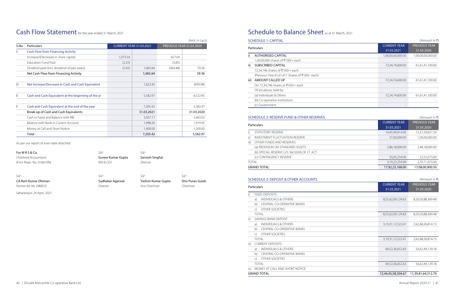### Cash Flow Statement for the year ended 31 March, 2021

|       |                                                     |                                |            |                          | (Amt. in Lacs) |
|-------|-----------------------------------------------------|--------------------------------|------------|--------------------------|----------------|
| S.No. | <b>Particulars</b>                                  | <b>CURRENT YEAR 31.03.2021</b> |            | PREVIOUS YEAR 31.03.2020 |                |
| C     | <b>Cash Flow from Financing Activity</b>            |                                |            |                          |                |
|       | Increase/(Decrease) in share capital                | 1,073.34                       |            | 427.69                   |                |
|       | <b>Education Fund Paid</b>                          | (2.25)                         |            | (3.85)                   |                |
|       | Dividend paid (incl. dividend of past years)        | (5.45)                         | 1,065.64   | (364.48)                 | 59.36          |
|       | Net Cash Flow from Financing Activity               |                                | 1,065.64   |                          | 59.36          |
| D     | Net Increase/Decrease in Cash and Cash Equivalent   |                                | 1,622.45   |                          | (939.98)       |
| Ε     | Cash and Cash Equivalent at the beginning of the yr |                                | 5,582.97   |                          | 6,522.95       |
| F     | Cash and Cash Equivalent at the end of the year     |                                | 7,205.42   |                          | 5,582.97       |
|       | Break-up of Cash and Cash Equivalents               |                                | 31.03.2021 |                          | 31.03.2020     |
|       | Cash in hand and Balance with RBI                   |                                | 3,307.17   |                          | 2,463.02       |
|       | Balance with Bank in Current Account                |                                | 1,998.26   |                          | 1,919.95       |
|       | Money at Call and Short Notice                      |                                | 1,900.00   |                          | 1,200.00       |
|       | Total                                               |                                | 7,205.42   |                          | 5,582.97       |

As per our report of even date attached

| For MRS&Co.              | $Sd$ /-            | Sd/-                |                  |
|--------------------------|--------------------|---------------------|------------------|
| Chartered Accountants    | Suveer Kumar Gupta | Sarvesh Singhal     |                  |
| (Firm Regn. No. 016610N) | MD & CFO           | Director            |                  |
| $Sd$ /-                  | $Sd$ /-            | $Sd$ /-             | $Sd$ /-          |
| CA Ram Kumar Dhiman      | Sudhakar Agarwal   | Yashvir Kumar Gupta | <b>Shiv Pura</b> |
| Partner (M. No. 096852)  | Director           | Vice Chairman       | Chairman         |

Saharanpur: 24 April, 2021

## Schedule to Balance Sheet as at 31 March, 2021

**SCHEDULE 1: CAPITAL** 

|      | SCHEDULE 1: CAPITAL                             |                     | (Amount in $\bar{x}$ ) |
|------|-------------------------------------------------|---------------------|------------------------|
|      | Particulars                                     | <b>CURRENT YEAR</b> | <b>PREVIOUS YEAR</b>   |
|      |                                                 | 31.03.2021          | 31.03.2020             |
| i)   | <b>AUTHORISED CAPITAL</b>                       | 1,00,00,00,000.00   | 1,00,00,00,000.00      |
|      | 1,00,00,000 shares of ₹100/= each               |                     |                        |
| ii)  | SUBSCRIBED CAPITAL                              | 72,34,74,600.00     | 61,61,41,100.00        |
|      | 72,34,746 shares of ₹100/= each                 |                     |                        |
|      | (Previous Year 61,61,411 Shares of ₹100/- each) |                     |                        |
| iii) | AMOUNT CALLED UP                                | 72,34,74,600.00     | 61,61,41,100.00        |
|      | On 72,34,746 shares at ₹100/= each              |                     |                        |
|      | Of (iii) above, held by                         |                     |                        |
|      | (a) Individuals & Others                        | 72,34,74,600.00     | 61,61,41,100.00        |
|      | (b) Co-operative institutions                   |                     |                        |
|      | (c) Government                                  |                     |                        |

| i)   | <b>AUTHORISED CAPITAL</b>                       |
|------|-------------------------------------------------|
|      | 1,00,00,000 shares of ₹100/= each               |
| ii)  | <b>SUBSCRIBED CAPITAL</b>                       |
|      | 72,34,746 shares of ₹100/= each                 |
|      | (Previous Year 61,61,411 Shares of ₹100/- each) |
| iii) | AMOUNT CALLED UP                                |
|      | On 72,34,746 shares at ₹100/= each              |
|      | Of (iii) above, held by                         |
|      | (a) Individuals & Others                        |
|      | (b) Co-operative institutions                   |
|      | (c) Government                                  |

### SCHEDULE 2: RESERVE FUND & OTHER RESERVES (Amount in ₹)

### Particulars

|                                                 | <b>CURRENT YEAR</b> | <b>PREVIOUS YEAR</b> |
|-------------------------------------------------|---------------------|----------------------|
| <b>Particulars</b>                              | 31.03.2021          | 31.03.2020           |
| STATUTORY RESERVE                               | 14,45,99,914.00     | 13,37,29,827.50      |
| <b>INVESTMENT FLUCTUATION RESERVE</b><br>ii)    | 27,00,000.00        | 1,00,00,000.00       |
| OTHER FUNDS AND RESERVES<br>iii)                |                     |                      |
| (a) PROVISION ON STANDARD ASSETS                | 2,86,18,000.00      | 2,48,18,000.00       |
| (b) SPECIAL RESERVE U/S 36(1)(VIII) OF I.T. ACT |                     |                      |
| (c) CONTINGENCY RESERVE                         | 33,05,254.00        | 22,53,073.00         |
| TOTAL                                           | 3,19,23,254.00      | 2,70,71,073.00       |
| <b>GRAND TOTAL</b>                              | 17,92,23,168.00     | 17,08,00,900.50      |

|      | STATUTORY RESERVE                               |  |
|------|-------------------------------------------------|--|
| ii)  | INVESTMENT FLUCTUATION RESERVE                  |  |
| iii) | OTHER FUNDS AND RESERVES                        |  |
|      | (a) PROVISION ON STANDARD ASSETS                |  |
|      | (b) SPECIAL RESERVE U/S 36(1)(VIII) OF I.T. ACT |  |
|      | (c) CONTINGENCY RESERVE                         |  |
|      | TOTAI                                           |  |
|      | <b>GRAND TOTAL</b>                              |  |

### SCHEDULE 3: DEPOSIT & OTHER ACCOUNTS (Amount in ₹)

### Particulars

Shiv Puran Gulati

|      | a)            | INDIVIDUALS & OTHERS              |
|------|---------------|-----------------------------------|
|      | b)            | <b>CENTRAL CO-OPERATIVE BANKS</b> |
|      | $\mathsf{C}$  | <b>OTHER SOCIETIES</b>            |
|      | <b>TOTAL</b>  |                                   |
| ii)  |               | SAVINGS BANK DEPOSIT              |
|      | a)            | INDIVIDUALS & OTHERS              |
|      |               | b) CENTRAL CO-OPERATIVE BANKS     |
|      | $\mathcal{C}$ | OTHER SOCIETIES                   |
|      | <b>TOTAL</b>  |                                   |
| iii) |               | <b>CURRENT DEPOSITS</b>           |
|      | a)            | INDIVIDUALS & OTHERS              |
|      | b)            | CENTRAL CO-OPERATIVE BANKS        |
|      | C)            | OTHER SOCIETIES                   |
|      | TOTAI         |                                   |
| iv)  |               | MONEY AT CALL AND SHORT NOTICE    |
|      |               | <b>GRAND TOTAL</b>                |

| <b>CURRENT YEAR</b><br>Particulars |                                                                                                                                                                                  |                    |
|------------------------------------|----------------------------------------------------------------------------------------------------------------------------------------------------------------------------------|--------------------|
|                                    | 31.03.2021                                                                                                                                                                       | 31.03.2020         |
|                                    |                                                                                                                                                                                  |                    |
| <b>INDIVIDUALS &amp; OTHERS</b>    | 8,55,62,09,129.63                                                                                                                                                                | 8,20,50,88,369.48  |
| <b>CENTRAL CO-OPERATIVE BANKS</b>  |                                                                                                                                                                                  |                    |
| OTHER SOCIETIES                    |                                                                                                                                                                                  |                    |
|                                    | 8,55,62,09,129.63                                                                                                                                                                | 8,20,50,88,369.48  |
|                                    |                                                                                                                                                                                  |                    |
| <b>INDIVIDUALS &amp; OTHERS</b>    | 3, 19, 31, 12, 522. 41                                                                                                                                                           | 2,62,68,26,814.13  |
| <b>CENTRAL CO-OPERATIVE BANKS</b>  |                                                                                                                                                                                  |                    |
| OTHER SOCIETIES                    |                                                                                                                                                                                  |                    |
|                                    | 3, 19, 31, 12, 522. 41                                                                                                                                                           | 2,62,68,26,814.13  |
|                                    |                                                                                                                                                                                  |                    |
| <b>INDIVIDUALS &amp; OTHERS</b>    | 69,52,36,652.63                                                                                                                                                                  | 56,62,49,129.18    |
| <b>CENTRAL CO-OPERATIVE BANKS</b>  |                                                                                                                                                                                  |                    |
| OTHER SOCIETIES                    |                                                                                                                                                                                  |                    |
|                                    | 69,52,36,652.63                                                                                                                                                                  | 56,62,49,129.18    |
|                                    |                                                                                                                                                                                  |                    |
|                                    | 12,44,45,58,304.67                                                                                                                                                               | 11,39,81,64,312.79 |
|                                    | <b>FIXED DEPOSITS</b><br><b>TOTAL</b><br>SAVINGS BANK DEPOSIT<br><b>TOTAL</b><br><b>CURRENT DEPOSITS</b><br><b>TOTAL</b><br>MONEY AT CALL AND SHORT NOTICE<br><b>GRAND TOTAL</b> |                    |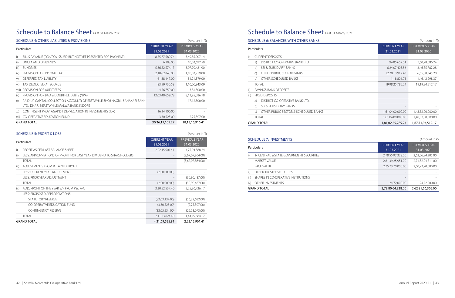## Schedule to Balance Sheet as at 31 March, 2021

|               | SCHEDULE 4: OTHER LIABILITIES & PROVISIONS                                                                                |                     | (Amount in $\bar{x}$ )             |
|---------------|---------------------------------------------------------------------------------------------------------------------------|---------------------|------------------------------------|
|               | <b>Particulars</b>                                                                                                        |                     | <b>PREVIOUS YEAR</b><br>31.03.2020 |
| i)            | BILLS PAYABLE (DDs/POs ISSUED BUT NOT YET PRESENTED FOR PAYMENT)                                                          | 8,55,77,589.74      | 3,49,85,907.14                     |
| ii)           | UNCLAIMED DIVIDENDS                                                                                                       | 6,188.00            | 10,03,692.50                       |
| iii)          | <b>SUNDRIES</b>                                                                                                           | 5,36,82,574.17      | 3,07,79,481.90                     |
| iv)           | PROVISION FOR INCOME TAX                                                                                                  | 2,10,62,845.00      | 1,10,03,219.00                     |
| V)            | DEFERRED TAX LIABILITY                                                                                                    | 61,38,147.00        | 84,21,879.00                       |
| vi)           | TAX DEDUCTED AT SOURCE                                                                                                    | 83,99,730.58        | 1,16,06,843.09                     |
| viii)         | PROVISION FOR AUDIT FEES                                                                                                  | 4,56,750.00         | 3,81,500.00                        |
| $\mathsf{ix}$ | PROVISION FOR BAD & DOUBTFUL DEBTS (NPA)                                                                                  | 12,63,48,659.78     | 8,11,95,586.78                     |
| $\chi$ )      | PAID-UP CAPITAL (COLLECTION ACCOUNT) OF ERSTWHILE BHOJ NAGRIK SAHAKARI BANK<br>LTD., DHAR, & ERSTWHILE MALWA BANK, INDORE |                     | 17,12,500.00                       |
| xi)           | CONTINGENT PROV. AGAINST DEPRECIATION IN INVESTMENTS (IDR)                                                                | 16,14,100.00        |                                    |
| xii)          | <b>CO-OPERATIVE EDUCATION FUND</b>                                                                                        | 3,30,525.00         | 2,25,307.00                        |
|               | <b>GRAND TOTAL</b>                                                                                                        | 30, 36, 17, 109. 27 | 18,13,15,916.41                    |

### SCHEDULE 5: PROFIT & LOSS (Amount in ₹)

| <b>Particulars</b> |                                                                       | <b>CURRENT YEAR</b><br>31.03.2021 | <b>PREVIOUS YEAR</b><br>31.03.2020 |
|--------------------|-----------------------------------------------------------------------|-----------------------------------|------------------------------------|
| i)                 | PROFIT AS PER LAST BALANCE-SHEFT                                      | 2,22,15,901.41                    | 4,75,94,588.24                     |
| ii)                | LESS: APPROPRIATIONS OF PROFIT FOR LAST YEAR DIVIDEND TO SHAREHOLDERS |                                   | (3,67,07,864.00)                   |
|                    | TOTAI                                                                 |                                   | (3,67,07,864.00)                   |
| iii)               | ADJUSTMENTS FROM RETAINED PROFIT                                      |                                   |                                    |
|                    | LESS: CURRENT YEAR ADJUSTMENT                                         | (2,00,000.00)                     |                                    |
|                    | LESS: PRIOR YEAR ADJUSTMENT                                           |                                   | (30,90,487,00)                     |
|                    | <b>TOTAL</b>                                                          | (2,00,000.00)                     | (30,90,487.00)                     |
| iv)                | ADD: PROFIT OF THE YEAR B/F FROM P&L A/C                              | 3,30,52,537.40                    | 2,25,30,726.17                     |
|                    | LESS: PROPOSED APPROPRIATIONS                                         |                                   |                                    |
|                    | STATUTORY RESERVE                                                     | (82,63,134,00)                    | (56,32,682.00)                     |
|                    | <b>CO-OPERATIVE EDUCATION FUND</b>                                    | (3,30,525.00)                     | (2,25,307.00)                      |
|                    | <b>CONTINGENCY RESERVE</b>                                            | (33,05,254,00)                    | (22,53,073,00)                     |
|                    | <b>TOTAL</b>                                                          | 2,11,53,624.40                    | 1,44,19,664.17                     |
|                    | <b>GRAND TOTAL</b>                                                    | 4,31,69,525.81                    | 2,22,15,901.41                     |

# Schedule to Balance Sheet as at 31 March, 2021

### SCHEDULE 6: BALANCES WITH OTHER BANKS (Amount in ₹)

### Particulars

| i)   |                       | <b>CURRENT DEPOSITS</b>               |  |
|------|-----------------------|---------------------------------------|--|
|      | a)                    | DISTRICT CO-OPERATIVE BANK I TD       |  |
|      | b)                    | SBL& SUBSIDIARY BANKS                 |  |
|      | C)                    | OTHER PUBLIC SECTOR BANKS             |  |
|      | d)                    | OTHER SCHEDULED BANKS                 |  |
|      | TOTAL                 |                                       |  |
| ii)  |                       | SAVINGS BANK DEPOSITS                 |  |
| iii) | <b>FIXED DEPOSITS</b> |                                       |  |
|      | a)                    | DISTRICT CO-OPERATIVE BANK LTD        |  |
|      | b)                    | SRI & SURSIDIARY BANKS                |  |
|      | $\mathcal{C}$         | OTHER PUBLIC SECTOR & SCHEDULED BANKS |  |
|      | TOTAL                 |                                       |  |
|      |                       | <b>GRAND TOTAL</b>                    |  |

### SCHEDULE 7: INVESTMENTS (Amount in ₹)

|      | Particulars                                           | <b>CURRENT YEAR</b><br>31.03.2021 | <b>PREVIOUS YEAR</b><br>31.03.2020 |
|------|-------------------------------------------------------|-----------------------------------|------------------------------------|
| i)   | <b>CURRENT DEPOSITS</b>                               |                                   |                                    |
|      | DISTRICT CO-OPERATIVE BANK LTD<br>a)                  | 94,85,657.54                      | 7,60,78,086.24                     |
|      | SBI & SUBSIDIARY BANKS<br>b)                          | 6,24,07,403.56                    | 3,46,85,782.28                     |
|      | OTHER PUBLIC SECTOR BANKS<br>$\mathsf{C}$             | 12,78,13,917.43                   | 6,65,88,345.28                     |
|      | OTHER SCHEDULED BANKS<br>d)                           | 1,18,806.71                       | 1,46,42,298.37                     |
|      | <b>TOTAL</b>                                          | 19,98,25,785.24                   | 19,19,94,512.17                    |
| ii)  | SAVINGS BANK DEPOSITS                                 |                                   |                                    |
| iii) | <b>FIXED DEPOSITS</b>                                 |                                   |                                    |
|      | DISTRICT CO-OPERATIVE BANK LTD.<br>a)                 |                                   |                                    |
|      | <b>SBI &amp; SUBSIDIARY BANKS</b><br>b)               |                                   |                                    |
|      | OTHER PUBLIC SECTOR & SCHEDULED BANKS<br>$\mathsf{C}$ | 1,61,04,00,000.00                 | 1,48,52,00,000.00                  |
|      | <b>TOTAL</b>                                          | 1,61,04,00,000.00                 | 1,48,52,00,000.00                  |
|      | GRAND TOTAL                                           | 1,81,02,25,785.24                 | 1,67,71,94,512.17                  |

### Particulars

|             | IN CENTRAL & STATE GOVERNMENT SECURITIES |
|-------------|------------------------------------------|
|             | MARKFT VALUF:                            |
|             | <b>FACE VALUE:</b>                       |
| ii)         | OTHER TRUSTEE SECURITIES                 |
| iii)        | SHARES IN CO-OPERATIVE INSTITUTIONS      |
| $ V\rangle$ | OTHER INVESTMENTS                        |
|             |                                          |

| Particulars |                                          | <b>CURRENT YEAR</b> | <b>PREVIOUS YEAR</b> |
|-------------|------------------------------------------|---------------------|----------------------|
|             |                                          | 31.03.2021          | 31.03.2020           |
|             | IN CENTRAL & STATE GOVERNMENT SECURITIES | 2,78,55,92,328.00   | 2,62,56,94,305.00    |
|             | <b>MARKET VALUE:</b>                     | 2,81,39,25,951.00   | 2,71,32,94,811.00    |
|             | <b>FACE VALUE:</b>                       | 2,75,73,70,000.00   | 2,60,73,70,000.00    |
| ii)         | OTHER TRUSTEE SECURITIES                 |                     |                      |
| iii)        | SHARES IN CO-OPERATIVE INSTITUTIONS      |                     |                      |
|             | Iv) OTHER INVESTMENTS                    | 24,72,000.00        | 24,72,000.00         |
|             | <b>GRAND TOTAL</b>                       | 2,78,80,64,328.00   | 2,62,81,66,305.00    |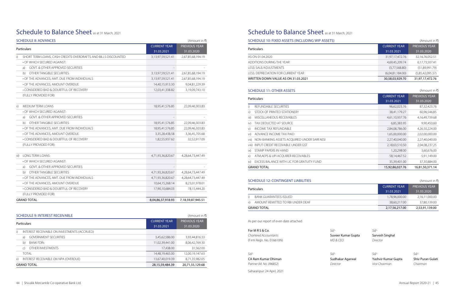## Schedule to Balance Sheet as at 31 March, 2021

| <b>SCHEDULE 8: ADVANCES</b>                                          | (Amount in ₹)                     |                                    |  |
|----------------------------------------------------------------------|-----------------------------------|------------------------------------|--|
| Particulars                                                          | <b>CURRENT YEAR</b><br>31.03.2021 | <b>PREVIOUS YEAR</b><br>31.03.2020 |  |
| i)<br>SHORT TERM LOANS, CASH CREDITS OVERDRAFTS AND BILLS DISCOUNTED | 3,13,97,59,521.41                 | 2,67,85,68,194.19                  |  |
| • OF WHICH SECURED AGAINST:                                          |                                   |                                    |  |
| <b>GOVT, &amp; OTHER APPROVED SECURITIES</b><br>a)                   |                                   |                                    |  |
| b)<br>OTHER TANGIBLE SECURITIES                                      | 3,13,97,59,521.41                 | 2,67,85,68,194.19                  |  |
| • OF THE ADVANCES, AMT. DUE FROM INDIVIDUALS                         | 3,13,97,59,521.41                 | 2,67,85,68,194.19                  |  |
| • OF THE ADVANCES, AMOUNT OVERDUE                                    | 14,40,15,913.30                   | 9,04,81,229.39                     |  |
| • CONSIDERED BAD & DOUBTFUL OF RECOVERY                              | 12,03,41,338.82                   | 3,19,09,743.10                     |  |
| (FULLY PROVIDED FOR)                                                 |                                   |                                    |  |
| <b>MEDIUM TERM LOANS</b><br>ii)                                      | 18,95,41,576.85                   | 22,09,46,303.83                    |  |
| • OF WHICH SECURED AGAINST:                                          |                                   |                                    |  |
| <b>GOVT. &amp; OTHER APPROVED SECURITIES</b><br>a)                   |                                   |                                    |  |
| OTHER TANGIBLE SECURITIES<br>b)                                      | 18,95,41,576.85                   | 22,09,46,303.83                    |  |
| • OF THE ADVANCES, AMT. DUE FROM INDIVIDUALS                         | 18,95,41,576.85                   | 22,09,46,303.83                    |  |
| • OF THE ADVANCES, AMOUNT OVERDUE                                    | 3,35,28,438.58                    | 3,36,45,705.68                     |  |
| • CONSIDERED BAD & DOUBTFUL OF RECOVERY                              | 1,82,55,937.62                    | 32,52,917.09                       |  |
| (FULLY PROVIDED FOR)                                                 |                                   |                                    |  |
| <b>LONG TERM LOANS</b><br>iii)                                       | 4,71,93,36,820.67                 | 4,28,64,73,447.49                  |  |
| • OF WHICH SECURED AGAINST:                                          |                                   |                                    |  |
| <b>GOVT. &amp; OTHER APPROVED SECURITIES</b><br>a)                   |                                   |                                    |  |
| OTHER TANGIBLE SECURITIES<br>b)                                      | 4,71,93,36,820.67                 | 4,28,64,73,447.49                  |  |
| • OF THE ADVANCES, AMT. DUE FROM INDIVIDUALS                         | 4,71,93,36,820.67                 | 4,28,64,73,447.49                  |  |
| • OF THE ADVANCES, AMOUNT OVERDUE                                    | 10,64,15,268.14                   | 8,23,01,978.01                     |  |
| • CONSIDERED BAD & DOUBTFUL OF RECOVERY                              | 17,90,10,684.03                   | 78,15,444.20                       |  |
| (FULLY PROVIDED FOR)                                                 |                                   |                                    |  |
| <b>GRAND TOTAL</b>                                                   | 8,04,86,37,918.93                 | 7,18,59,87,945.51                  |  |

### Particulars AS ON 01.04.2020 ADDITIONS DURING THE YEAR LESS: SALE/ADJUSTMENTS LESS: DEPRECIATION FOR CURRENT YEAR WRITTEN DOWN VALUE AS ON 31.03.2021 SCHEDULE 11: OTHER ASSETS (Amount in C) Particulars i) REFUNDABLE SECURITIES ii) STOCK OF PRINTED STATIONERY iii) MISCELLANEOUS RECEIVABLES iv) TAX DEDUCTED AT SOURCE v) INCOME TAX REFUNDABLE vi) ADVANCE INCOME TAX PAID

|     | iRAND TOTAL                                    |
|-----|------------------------------------------------|
| i). | EXCESS BALANCE WITH LIC FOR GRATUITY FUND      |
|     | ATM. AEPS & UPI ACOUIRER RECEIVABLES           |
|     | :) STAMP PAPERS IN HAND                        |
|     | iii) INPUT CREDIT RECEIVABLE UNDER GST         |
|     | ii) NON-BANKING ASSETS ACQUIRED UNDER SARFAESI |

### SCHEDULE 12: CONTINGENT LIABILITIES (Amount in ₹)

|     | SCHEDULE 9: INTEREST RECEIVABLE              |                                   | (Amount in ₹)                      |
|-----|----------------------------------------------|-----------------------------------|------------------------------------|
|     | Particulars                                  | <b>CURRENT YEAR</b><br>31.03.2021 | <b>PREVIOUS YEAR</b><br>31.03.2020 |
| i)  | INTEREST RECEIVABLE ON INVESTMENTS (ACCRUED) |                                   |                                    |
|     | <b>GOVERNMENT SECURITIES</b><br>a)           | 3,45,62,586.00                    | 3,93,44,816.33                     |
|     | <b>BANK FDRs</b><br>b)                       | 11,02,39,441.00                   | 8,06,42,769.30                     |
|     | OTHER INVESTMENTS<br>$\mathcal{C}$           | 17,438.00                         | 31,562.00                          |
|     | <b>TOTAL</b>                                 | 14,48,19,465.00                   | 12,00,19,147.63                    |
| ii) | INTEREST RECEIVABLE ON NPA (OVERDUE)         | 13,67,40,019.39                   | 8,71,35,982.05                     |
|     | <b>GRAND TOTAL</b>                           | 28,15,59,484.39                   | 20,71,55,129.68                    |

### Schedule to Balance Sheet as at 31 March, 2021

### SCHEDULE 10: FIXED ASSETS (INCLUDING WIP ASSETS) (Amount in ₹)

| <b>CURRENT YEAR</b> | <b>PREVIOUS YEAR</b> |
|---------------------|----------------------|
| 31.03.2021          | 31.03.2020           |
| 31,97,17,472.76     | 32,16,76,052.51      |
| 4,69,45,209.74      | 6,17,73,507.41       |
| (3.77.568.80)       | (51,89,991.79)       |
| (6,04,81,184.00)    | (5,85,42,095.37)     |
| 30,58,03,929.70     | 31,97,17,472.76      |

Particulars

| <b>GRAND TOTAL</b> |                                   |  |
|--------------------|-----------------------------------|--|
|                    | AMOUNT REMITTED TO RBI UNDER DEAE |  |
|                    | <b>BANK GUARANTEES ISSUED</b>     |  |

| <b>Particulars</b>                    | <b>CURRENT YEAR</b><br>31.03.2021 | <b>PREVIOUS YEAR</b><br>31.03.2020 |
|---------------------------------------|-----------------------------------|------------------------------------|
| BANK GUARANTEES ISSUED                | 1,78,96,000.00                    | 2,16,11,000.00                     |
| ii) AMOUNT REMITTED TO RBI UNDER DEAF | 38,60,217.00                      | 37,80,139.00                       |
| GRAND TOTAL                           | 2,17,56,217.00                    | 2,53,91,139.00                     |

| mar Gunta |  |
|-----------|--|

| Particulars |                                                 | <b>CURRENT YEAR</b> | <b>PREVIOUS YEAR</b> |
|-------------|-------------------------------------------------|---------------------|----------------------|
|             |                                                 | 31.03.2021          | 31.03.2020           |
| i)          | REFUNDABLE SECURITIES                           | 96,62,023.76        | 87,32,423.76         |
| ii)         | STOCK OF PRINTED STATIONERY                     | 38,41,179.27        | 60,96,546.85         |
| iii)        | MISCELLANEOUS RECEIVABLES                       | 4,61,10,937.76      | 4,16,49,739.68       |
| iv).        | TAX DEDUCTED AT SOURCE                          | 6,85,383.95         | 9,90,450.60          |
| V)          | <b>INCOME TAX REFUNDABLE</b>                    | 2,84,08,786.00      | 4,26,50,224.00       |
| vi) -       | ADVANCE INCOME TAX PAID                         | 1,65,00,000.00      | 2,02,00,000.00       |
|             | vii) NON-BANKING ASSETS ACQUIRED UNDER SARFAESI | 2,27,40,040.00      | 2,27,40,040.00       |
|             | viii) INPUT CREDIT RECEIVABLE UNDER GST         | 2,18,63,510.50      | 2,04,08,237.25       |
| ix)         | STAMP PAPERS IN HAND                            | 1,20,298.00         | 3,60,676.00          |
| X)          | ATM, AEPS & UPI ACQUIRER RECEIVABLES            | 58,14,467.52        | 5,91,149.00          |
| xi)         | EXCESS BALANCE WITH LIC FOR GRATUITY FUND       | 35,39,401.00        | 37,30,884.00         |
|             | GRAND TOTAL                                     | 15,92,86,027.76     | 16,81,50,371.14      |

| As per our report of even date attached |  |
|-----------------------------------------|--|
|-----------------------------------------|--|

| For MRS & Co.            | $Sd/-$             | $S$ d/-         |
|--------------------------|--------------------|-----------------|
| Chartered Accountants    | Suveer Kumar Gupta | Sarvesh Singhal |
| (Firm Regn. No. 016610N) | MD & CFO           | Director        |

| -Sd/-                   | Sd/-             | Sd/-                | Sd/-              |
|-------------------------|------------------|---------------------|-------------------|
| CA Ram Kumar Dhiman     | Sudhakar Agarwal | Yashvir Kumar Gupta | Shiv Puran Gulati |
| Partner (M. No. 096852) | Director         | Vice Chairman       | Chairman          |

Saharanpur: 24 April, 2021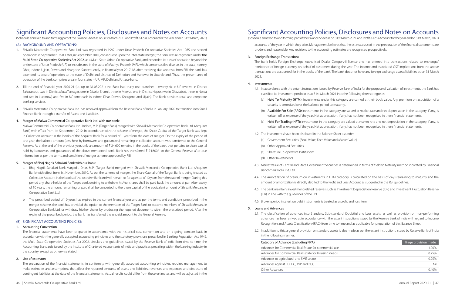(Schedule annexed to and forming part of the Balance Sheet as on 31st March 2021 and Profit & Loss Account for the year ended 31st March, 2021)

### (A) BACKGROUND AND OPERATIONS:

- 1. Shivalik Mercantile Co-operative Bank Ltd. was registered in 1997 under Uttar Pradesh Co-operative Societies Act 1965 and started operations in September 1998. Later, in September 2010, consequent upon the inter-state merger, the Bank was re-registered under the Multi State Co-operative Societies Act 2002, as a Multi-State Urban Co-operative Bank, and expanded its area of operation beyond the entire state of Uttar Pradesh (UP) to include area in the state of Madhya Pradesh (MP), which comprises five districts in the state, namely Dhar, Indore, Ujjain, Dewas and Khargone. Subsequently, in financial year 2017-18, after receiving due approval from RBI, the bank has extended its area of operation to the state of Delhi and districts of Dehradun and Haridwar in Uttarakhand. Thus, the present area of operation of the bank comprises area in four states – UP, MP, Delhi and Uttarakhand.
- 2. Till the end of financial year 2020-21 (i.e. up to 31.03.2021) the Bank had thirty one branches twenty six in UP (twelve in District Saharanpur, two in District Muzaffarnagar, one in District Shamli, three in Meerut, one in District Hapur, two in Ghaziabad, three in Noida and two in Lucknow) and five in MP (one each in Indore, Dhar, Dewas, Khargone and Ujjain). The Bank provides retail and corporate banking services.
- 3. Shivalik Mercantile Co-operative Bank Ltd. has received approval from the Reserve Bank of India in January 2020 to transition into Small Finance Bank through a transfer of Assets and Liabilities.

### 4. Merger of Malwa Commercial Co-operative Bank Ltd. with our bank:

Malwa Commercial Co-operative Bank Ltd., Indore, M.P. (Target Bank) merged with Shivalik Mercantile Co-operative Bank Ltd. (Acquirer Bank) with effect from 1st September, 2012. In accordance with the scheme of merger, the Share Capital of the Target Bank was kept in Collection Account in the books of the Acquirer Bank for a period of 1 year from the date of merger. On the expiry of the period of one year, the balance amount (less, held by borrowers and guarantors) remaining in collection account was transferred to the General Reserve. As at the end of the previous year, only an amount of  $\bar{\xi}$  24,600 remains in the books of the bank, that pertains to share capital held by borrowers and quarantors of the above-mentioned bank. Bank has transferred  $\bar{\xi}$  24,600/- to the General Reserve after due information as per the terms and condition of merger scheme approved by RBI.

### 5. Merger of Bhoj Nagrik Sahakari Bank with our bank:

- a. Bhoj Nagrik Sahakari Bank Maryadit, Dhar, M.P. (Target Bank) merged with Shivalik Mercantile Co-operative Bank Ltd. (Acquirer Bank) with effect from 1st November, 2010. As per the scheme of merger, the Share Capital of the Target Bank is being treated as Collection Account in the books of the Acquirer Bank and will remain so for a period of 10 years from the date of merger. During this period any share-holder of the Target bank desiring to withdraw his/her shares shall be paid back the amount at par. After expiry of 10 years, the amount remaining unpaid shall be converted to the share capital of the equivalent amount of Shivalik Mercantile Co-operative Bank Ltd.
- b. The prescribed period of 10 years has expired in the current financial year and as per the terms and conditions prescribed in the merger scheme, the bank has provided the option to the members of the Target Bank to become members of Shivalik Mercantile Co-operative Bank Ltd. or withdraw his/her shares by producing the required documents within the prescribed period. After the expiry of the prescribed period, the bank has transferred the unpaid amount to the General Reserve.

### (B) SIGNIFICANT ACCOUNTING POLICIES:

### 1. Accounting Convention

The financial statements have been prepared in accordance with the historical cost convention and on a going concern basis in accordance with the generally accepted accounting principles and the statutory provisions prescribed in Banking Regulation Act 1949, the Multi State Co-operative Societies Act 2002, circulars and guidelines issued by the Reserve Bank of India from time to time, the Accounting Standards issued by the Institute of Chartered Accountants of India and practices prevailing within the banking industry in the country, except as otherwise stated.

### 2. Use of estimates

The preparation of the financial statements, in conformity with generally accepted accounting principles, requires management to make estimates and assumptions that affect the reported amounts of assets and liabilities, revenues and expenses and disclosure of contingent liabilities at the date of the financial statements. Actual results could differ from these estimates and will be adjusted in the

## Signifcant Accounting Policies, Disclosures and Notes on Accounts

(Schedule annexed to and forming part of the Balance Sheet as on 31st March 2021 and Profit & Loss Account for the year ended 31st March, 2021)

accounts of the year in which they arise. Management believes that the estimates used in the preparation of the financial statements are prudent and reasonable. Any revisions to the accounting estimates are recognised prospectively.

### 3. Foreign Exchange Transactions

The bank holds Foreign Exchange Authorised Dealer Category-II license and has entered into transactions related to exchange/ remittance of foreign currency on behalf of customers during the year. The income and associated GST implications from the above transactions are accounted for in the books of the bank. The bank does not have any foreign exchange assets/liabilities as on 31 March 2021.

### 4. Investments

4.1. In accordance with the extant instructions issued by Reserve Bank of India for the purpose of valuation of Investments, the Bank has

(a) Held To Maturity (HTM): Investments under this category are carried at their book value. Any premium on acquisition of a

(b) Available For Sale (AFS): Investments in the category are valued at market rate and net depreciation in the category, if any, is written off as expense of the year. Net appreciation, if any, has not been recognised in these financial statements.

(c) Held For Trading (HFT): Investments in the category are valued at market rate and net depreciation in the category, if any, is written off as expense of the year. Net appreciation, if any, has not been recognised in these financial statements.

- classified its Investment portfolio as at 31st March 2021 into the following three categories:
	- security is amortised over the balance period to maturity.
	-
	-
- 4.2. The Investments have been disclosed in the Balance Sheet as under:
	- (a) Government Securities (Book Value, Face Value and Market Value)
	- (b) Other Approved Securities
	- (c) Shares in Co-operative Institutions
	- (d) Other Investments
- Benchmark India Pvt. Ltd.
- amount of amortization is directly debited to the Profit and Loss Account as suggested in the RBI guidelines.
- (IFR) in line with the guidelines of the RBI.
- 4.6. Broken period interest on debt instruments is treated as a profit and loss item.

4.3. Market Value of Central and State Government Securities is determined in terms of Yield to Maturity method indicated by Financial

4.4. The Amortization of premium on investments in HTM category is calculated on the basis of days remaining to maturity and the

4.5. The bank maintains investment related reserves such as Investment Depreciation Reserve (IDR) and Investment Fluctuation Reserve

### 5. Loans and Advances

5.1. The classification of advances into Standard, Sub-standard, Doubtful and Loss assets, as well as provision on non-performing advances has been arrived at in accordance with the extant instructions issued by the Reserve Bank of India with regard to Income

- Recognition and Assets Classification (IRAC) from time to time and as applicable for preparation of this Balance Sheet.
- in the following manner:

#### Category of Advance (Excluding NPA)

Advances for Commercial Real Estate for commercial use Advances for Commercial Real Estate for Housing needs

Advances to agricultural and SME sector

Advances against FD, LIC, KVP and NSC

Other Advances

5.2. In addition to this, a general provision on standard assets is also made as per the extant instructions issued by Reserve Bank of India

| %age provision made |  |
|---------------------|--|
| 1.00%               |  |
| 0.75%               |  |
| 0.25%               |  |
| Nil                 |  |
| 0.40%               |  |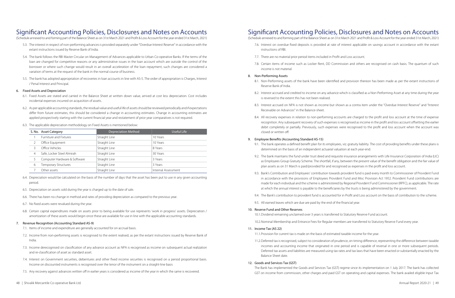(Schedule annexed to and forming part of the Balance Sheet as on 31st March 2021 and Profit & Loss Account for the year ended 31st March, 2021)

- 5.3. The interest in respect of non-performing advances is provided separately under "Overdue Interest Reserve" in accordance with the extant instructions issued by Reserve Bank of India.
- 5.4. The bank follows the RBI Master Circular on Management of Advances applicable to Urban Co-operative Banks. If the terms of the loan are changed for competitive reasons or any administrative issues in the loan account which are outside the control of the borrower or where such change would result in an overall acceleration of the loan repayment, such changes are considered a variation of terms at the request of the bank in the normal course of business.
- 5.5. The bank has adopted appropriation of recoveries in loan accounts in line with AS-5. The order of appropriation is Charges, Interest / Penal Interest and Principal.

### 6. Fixed Assets and Depreciation

- 6.1. Fixed Assets are stated and carried in the Balance Sheet at written down value, arrived at cost less depreciation. Cost includes incidental expenses incurred on acquisition of assets.
- 6.2. As per applicable accounting standards, the residual value and useful life of assets should be reviewed periodically and if expectations differ from future estimates, this should be considered a change in accounting estimates. Change in accounting estimates are applied prospectively starting with the current financial year and restatement of prior year comparatives is not required.
- 6.3. The applicable depreciation methodology on Fixed Assets is mentioned below:

- 7.1. Items of income and expenditure are generally accounted for on accrual basis.
- 7.2. Income from non-performing assets is recognised to the extent realised, as per the extant instructions issued by Reserve Bank of India.
- 7.3. Income derecognised on classification of any advance account as NPA is recognised as income on subsequent actual realization and re-classification of asset as standard asset.
- 7.4. Interest on Government securities, debentures and other fixed income securities is recognised on a period proportional basis. Income on discounted instruments is recognised over the tenor of the instrument on a straight-line basis
- 7.5. Any recovery against advances written off in earlier years is considered as income of the year in which the same is recovered.
- 48 | Shivalik Mercantile Co-operative Bank Ltd. Annual Report 2020-21 | 49

|   | S. No. Asset Category        | Depreciation Method | Useful Life         |
|---|------------------------------|---------------------|---------------------|
|   | Furniture and Fixtures       | Straight Line       | 10 Years            |
|   | Office Equipment             | Straight Line       | 10 Years            |
|   | Office Vehicles              | Straight Line       | 8 Years             |
| 4 | Safe, Locker Steel Almirah   | Straight Line       | 30 Years            |
|   | Computer Hardware & Software | Straight Line       | 3 Years             |
| 6 | Temporary Structures         | Straight Line       | 3 Years             |
|   | Other assets                 | Straight Line       | Internal Assessment |

- 6.4. Depreciation would be calculated on the basis of the number of days that the asset has been put to use in any given accounting period.
- 6.5. Depreciation on assets sold during the year is charged up to the date of sale.
- 6.6. There has been no change in method and rates of providing depreciation as compared to the previous year.
- 6.7. No fixed assets were revalued during the year.
- 6.8. Certain capital expenditures made on assets prior to being available for use represents 'work in progress' assets. Depreciation / amortization of these assets would begin once these are available for use in line with the applicable accounting standards.

### 7. Revenue Recognition (Accounting Standard AS-9)

### Signifcant Accounting Policies, Disclosures and Notes on Accounts

(Schedule annexed to and forming part of the Balance Sheet as on 31st March 2021 and Profit & Loss Account for the year ended 31st March, 2021) 7.6. Interest on overdue fixed deposits is provided at rate of interest applicable on savings account in accordance with the extant

- instructions of RBI.
- 7.7. There are no material prior period items included in Profit and Loss account.
- income is not material.

7.8. Certain items of income such as Locker Rent, DD Commission and others are recognised on cash basis. The quantum of such

### 8. Non-Performing Assets

8.1. Non-Performing assets of the bank have been identified and provision thereon has been made as per the extant instructions of

8.2. Interest accrued and credited to income on any advance which is classified as a Non-Performing Asset at any time during the year

8.3. Interest accrued on NPA is not shown as income but shown as a contra item under the "Overdue Interest Reserve" and "Interest

- Reserve Bank of India.
- is reversed to the extent this has not been realised.
- Receivable on Advances" in the Balance-sheet.
- closed or written off.

8.4. All recovery expenses in relation to non-performing accounts are charged to the profit and loss account at the time of expense recognition. Any subsequent recovery of such expenses is recognised as income in the profit and loss account offsetting the earlier debit completely or partially. Previously, such expenses were recognised to the profit and loss account when the account was

### 9. Employee Benefts (Accounting Standard AS-15)

9.1. The bank operates a defined benefit plan for its employees, viz. gratuity liability. The cost of providing benefits under these plans is

9.2. The bank maintains the fund under trust deed and requisite insurance arrangements with Life Insurance Corporation of India (LIC) as Employees Group Gratuity Scheme. The shortfall, if any, between the present value of the benefit obligation and the fair value of

- determined on the basis of an independent actuarial valuation at each year-end.
- plan assets as on 31 March is paid/provided for and recognised as expenses in the profit and loss account.
- at which the annual interest is payable to the beneficiaries by the trusts is being administered by the government.
- 
- 9.5. All earned leaves which are due are paid by the end of the financial year.

9.3. Bank's Contribution and Employees' contribution towards provident fund is paid every month to Commissioner of Provident Fund in accordance with the provisions of Employees Provident Fund and Misc Provision Act 1952. Provident Fund contributions are made for each individual and the scheme is administered by Regional Provident Fund Commissioner (RPFC), as applicable. The rate

9.4. The Bank's contribution to provident fund is accounted for in Profit and Loss account on the basis of contribution to the scheme.

### 10. Reserve Fund and Other Reserves

10.1.Dividend remaining unclaimed over 3 years is transferred to Statutory Reserve Fund account.

10.2.Nominal Membership and Entrance Fees for Regular members are transferred to Statutory Reserve Fund every year.

### 11. Income Tax (AS 22)

11.1.Provision for current tax is made on the basis of estimated taxable income for the year.

11.2.Deferred tax is recognised, subject to consideration of prudence, on timing difference, representing the difference between taxable incomes and accounting income that originated in one period and is capable of reversal in one or more subsequent periods. Deferred tax assets and liabilities are measured using tax rates and tax laws that have been enacted or substantially enacted by the

Balance Sheet date.

### 12. Goods and Services Tax (GST)

The Bank has implemented the Goods and Services Tax (GST) regime since its implementation on 1 July 2017. The bank has collected GST on income from commission, other charges and paid GST on operating and capital expenses. The bank availed eligible Input Tax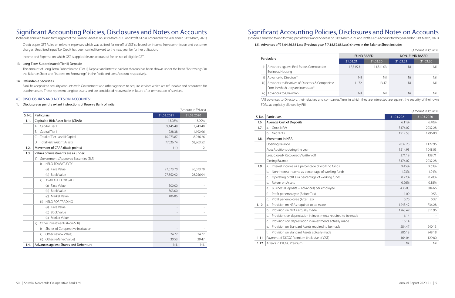(Schedule annexed to and forming part of the Balance Sheet as on 31st March 2021 and Profit & Loss Account for the year ended 31st March, 2021)

Credit as per GST Rules on relevant expenses which was utilised for set-off of GST collected on income from commission and customer charges. Unutilised Input Tax Credit has been carried forward to the next year for further utilization.

Income and Expense on which GST is applicable are accounted for on net of eligible GST.

### 13. Long Term Subordinated (Tier II) Deposit:

The amount of Long Term Subordinated (Tier II) Deposit and Interest paid on thereon has been shown under the head "Borrowings" in the Balance Sheet and "Interest on Borrowings" in the Profit and Loss Account respectively.

### 14. Refundable Securities

Bank has deposited security amounts with Government and other agencies to acquire services which are refundable and accounted for as other assets. These represent tangible assets and are considered recoverable in future after termination of services.

### (C) DISCLOSURES AND NOTES ON ACCOUNTS:

### 1. Disclosure as per the extant instructions of Reserve Bank of India:

|        |                                             |            | (Amount in ₹/Lacs) |
|--------|---------------------------------------------|------------|--------------------|
| S. No. | Particulars                                 | 31.03.2021 | 31.03.2020         |
| 1.1.   | Capital to Risk Asset Ratio (CRAR)          | 13.08%     | 13.09%             |
|        | A. Capital Tier I                           | 9,145.49   | 7,743.40           |
|        | Capital Tier II<br>В.                       | 928.38     | 1,192.96           |
|        | Total of Tier I and II Capital<br>C.        | 10,073.87  | 8,936.26           |
|        | <b>Total Risk Weight Assets</b><br>D.       | 77026.74   | 68,263.52          |
| 1.2.   | Movement of CRAR (Basis points)             | $(-1)$     | $\overline{2}$     |
| 1.3.   | Values of Investments are as under:         |            |                    |
|        | Government /Approved Securities (SLR)<br>1) |            |                    |
|        | <b>HELD TO MATURITY</b><br>i)               |            |                    |
|        | (a) Face Value                              | 27,073.70  | 26,073.70          |
|        | (b) Book Value                              | 27,352.92  | 26,256.94          |
|        | <b>AVAILABLE FOR SALE</b><br>ii)            |            |                    |
|        | (a) Face Value                              | 500.00     |                    |
|        | (b) Book Value                              | 503.00     |                    |
|        | (c) Market Value                            | 486.86     |                    |
|        | <b>HELD FOR TRADING</b><br>iii)             |            |                    |
|        | (a) Face Value                              |            |                    |
|        | (b) Book Value                              |            |                    |
|        | (c) Market Value                            |            |                    |
|        | Other Investments (Non-SLR)<br>(2)          |            |                    |
|        | Shares of Co-operative Institution<br>i)    |            |                    |
|        | Others (Book Value)<br>ii)                  | 24.72      | 24.72              |
|        | Others (Market Value)<br>iii)               | 30.53      | 29.47              |
| 1.4.   | Advances against Shares and Debenture       | <b>NIL</b> | <b>NIL</b>         |

## Signifcant Accounting Policies, Disclosures and Notes on Accounts

(Schedule annexed to and forming part of the Balance Sheet as on 31st March 2021 and Profit & Loss Account for the year ended 31st March, 2021)

### 1.5. Advances of ₹8,04,86.38 Lacs (Previous year ₹7,18,59.88 Lacs) shown in the Balance Sheet include:

### (Amount in ₹/Lacs)

|                                                                                                                                    | <b>FUND BASED</b> |           | <b>NON-FUND BASED</b> |          |  |
|------------------------------------------------------------------------------------------------------------------------------------|-------------------|-----------|-----------------------|----------|--|
| Particulars                                                                                                                        | 31.03.21          | 31.03.20  | 31.03.21              | 31.03.20 |  |
| Advances against Real Estate, Construction                                                                                         | 17,845.31         | 14,811.03 | Nil                   | Nil      |  |
| Business, Housing                                                                                                                  |                   |           |                       |          |  |
| Advance to Directors*<br>ii)                                                                                                       | Nil               | Nil       | Nil                   | Nil      |  |
| Advances to Relatives of Directors & Companies/<br>iii)                                                                            | 11.72             | 13.47     | Nil                   | Nil      |  |
| firms in which they are interested*                                                                                                |                   |           |                       |          |  |
| Advances to Chairman<br>iv)                                                                                                        | Nil               | Nil       | Nil                   | Nil      |  |
| *All advances to Directors, their relatives and companies/firms in which they are interested are against the security of their own |                   |           |                       |          |  |

| S. No. | Particulars                                                         | 31.03.2021 | 31.03.2020 |
|--------|---------------------------------------------------------------------|------------|------------|
| 1.6.   | <b>Average Cost of Deposits</b>                                     | 6.11%      | 6.40%      |
| 1.7.   | <b>Gross NPAs</b><br>a <sub>z</sub>                                 | 3176.02    | 2032.28    |
|        | Net NPAs<br>b.                                                      | 1912.53    | 1296.00    |
| 1.8.   | Movement in NPA                                                     |            |            |
|        | Opening Balance                                                     | 2032.28    | 1122.96    |
|        | Add: Additions during the year                                      | 1514.93    | 1048.03    |
|        | Less: Closed/Recovered /Written off                                 | 371.19     | 138.71     |
|        | Closing Balance                                                     | 3176.02    | 2032.28    |
| 1.9.   | Interest income as a percentage of working funds.<br>a.             | 9.45%      | 9.63%      |
|        | Non-Interest income as percentage of working funds<br>b.            | 1.23%      | 1.04%      |
|        | Operating profit as a percentage of working funds.<br>C.            | 0.72%      | 0.28%      |
|        | Return on Assets<br>d.                                              | 0.26%      | 0.18%      |
|        | Business (Deposits + Advances) per employee<br>e.                   | 436.03     | 304.66     |
|        | f.<br>Profit per employee (Before Tax)                              | 1.09       | 0.53       |
|        | Profit per employee (After Tax)<br>q.                               | 0.70       | 0.37       |
| 1.10.  | Provision on NPAs required to be made<br>a.                         | 1243.42    | 736.28     |
|        | Provision on NPAs actually made<br>b.                               | 1263.49    | 811.96     |
|        | Provisions on depreciation in investments required to be made<br>C. | 16.14      |            |
|        | Provisions on depreciation in investments actually made<br>d.       | 16.14      |            |
|        | Provision on Standard Assets required to be made<br>e.              | 284.47     | 240.13     |
|        | f.<br>Provision on Standard Assets actually made                    | 286.18     | 248.18     |
| 1.11   | Payment of DICGC Premium (inclusive of GST)                         | 164.04     | 129.80     |
| 1.12   | Arrears in DICGC Premium                                            | Nil        | Nil        |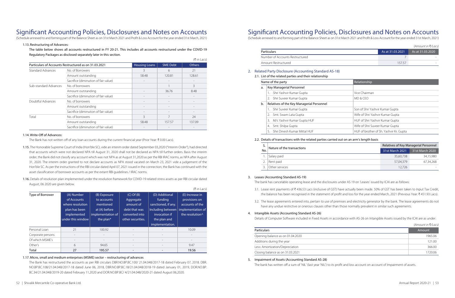### 1.13. Restructuring of Advances:

The table below shows all accounts restructured in FY 20-21. This includes all accounts restructured under the COVID-19 Regulatory Packages as disclosed separately later in this section.

|                                                       |                                      |                      |                 | (₹ in Lacs)   |
|-------------------------------------------------------|--------------------------------------|----------------------|-----------------|---------------|
| Particulars of Accounts Restructured as on 31.03.2021 |                                      | <b>Housing Loans</b> | <b>SME Debt</b> | <b>Others</b> |
| <b>Standard Advances</b>                              | No. of Borrowers                     | 3                    | 6               | 21            |
|                                                       | Amount outstanding                   | 58.48                | 120.81          | 128.61        |
|                                                       | Sacrifice (diminution of fair value) |                      |                 |               |
| Sub-standard Advances                                 | No. of borrowers                     |                      |                 | 3             |
|                                                       | Amount outstanding                   |                      | 36.76           | 8.48          |
|                                                       | Sacrifice (diminution of fair value) |                      |                 |               |
| Doubtful Advances                                     | No. of borrowers                     |                      |                 |               |
|                                                       | Amount outstanding                   |                      |                 |               |
|                                                       | Sacrifice (diminution of fair value) |                      |                 |               |
| Total                                                 | No. of borrowers                     | 3                    |                 | 24            |
|                                                       | Amount outstanding                   | 58.48                | 157.57          | 137.09        |
|                                                       | Sacrifice (diminution of fair value) |                      |                 |               |

#### 1.14. Write-Off of Advances:

The Bank has not written off of any loan accounts during the current financial year (Prior Year:  $\bar{\tau}$  0.00 Lacs).

## Signifcant Accounting Policies, Disclosures and Notes on Accounts

(Schedule annexed to and forming part of the Balance Sheet as on 31st March 2021 and Profit & Loss Account for the year ended 31st March, 2021)

- 1.15. The Honorable Supreme Court of India (Hon'ble SC), vide an interim order dated September 03,2020 ("Interim Order"), had directed that accounts which were not declared NPA till August 31, 2020 shall not be declared as NPA till further orders. Basis the interim order, the Bank did not classify any account which was not NPA as at August 31,2020 as per the RBI IRAC norms, as NPA after August 31, 2020. The interim order granted to not declare accounts as NPA stood vacated on March 23, 2021 vide a judgement of the Hon'ble SC. As per the instructions of the RBI circular dated April 07, 2021 issued in the connection, the Bank has continued with the asset classification of borrower accounts as per the extant RBI guidelines / IRAC norms.
- 1.16.Details of resolution plan implemented under the resolution framework for COVID-19 related stress assets as per RBI circular dated August, 06 2020 are given below.

|                   |                   |                   |                   |                     | $(5 \text{ III}$ LdCS)                        |
|-------------------|-------------------|-------------------|-------------------|---------------------|-----------------------------------------------|
| Type of Borrower  | (A) Number        | (B) Exposure      | $(C)$ Of $(B)$    | (D) Additional      | (E) Increase in                               |
|                   | of Accounts       | to accounts       | Aggregate         | funding             | provisions on                                 |
|                   | where resolution  | mentioned         | amount of         | sanctioned, if any. | accounts of the                               |
|                   | plan has been     | at (A) before     | debt that was     | Including between   | implementation of                             |
|                   | implemented       | implementation of | converted into    | invocation if       | the resolution <sup><math>\wedge</math></sup> |
|                   | under this window | the plan*         | other securities. | the plan and        |                                               |
|                   |                   |                   |                   | implementation.     |                                               |
| Personal Loan     | 21                | 100.92            |                   |                     | 10.09                                         |
| Corporate persons |                   |                   |                   |                     |                                               |
| Of which MSME's   |                   |                   |                   |                     | $\qquad \qquad -$                             |
| Other's           | 6                 | 94.65             |                   |                     | 9.47                                          |
| Total             | 27                | 195.57            |                   |                     | 19.56                                         |

### 1.17. Micro, small and medium enterprises (MSME) sector – restructuring of advances

The Bank has restructured the accounts as per RBI circulars DBR.NO.BP.BC.100/ 21.04.048/2017-18 dated February 07, 2018. DBR. NO.BP.BC.108/21.04.048/2017-18 dated June 06, 2018, DBR.NO.BP.BC.18/21.04.048/2018-19 dated January 01, 2019, DOR.NO.BP. BC.34/21.04.048/2019-20 dated February 11,2020 and DOR.NO.BP.BC/ 4/21.04.048/2020-21 dated August 06,2020.

| S.  | Nature of the transactions | Relatives of Key Managerial Personnel |                          |
|-----|----------------------------|---------------------------------------|--------------------------|
| No. |                            | 31st March 2021                       | 31st March 2020          |
|     | Salary paid                | 35,60,738                             | 34,15,980                |
|     | Rent paid                  | 57,04,379                             | 67,34,268                |
|     | Other services             | 12.726                                | $\overline{\phantom{0}}$ |

### 3. Leases (Accounting Standard AS-19)

 $(\pm in \text{Case})$ 

The bank has cancelable operating lease and the disclosures under AS 19 on 'Leases' issued by ICAI are as follows:

|     |                                                                                            |                                  |                                         | (Amount in ₹/Lacs)                    |
|-----|--------------------------------------------------------------------------------------------|----------------------------------|-----------------------------------------|---------------------------------------|
|     | Particulars                                                                                |                                  | As at 31.03.2021                        | As at 31.03.2020                      |
|     | Number of Accounts Restructured                                                            | 7                                |                                         |                                       |
|     | Amount Restructured                                                                        |                                  | 157.57                                  |                                       |
| 2.  | Related Party Disclosure (Accounting Standard AS-18)                                       |                                  |                                         |                                       |
|     | 2.1. List of the related parties and their relationship                                    |                                  |                                         |                                       |
|     | Name of the party                                                                          | Relationship                     |                                         |                                       |
| a.  | Key Managerial Personnel                                                                   |                                  |                                         |                                       |
|     | Shri Yashvir Kumar Gupta<br>$1_{\cdot}$                                                    | Vice Chairman                    |                                         |                                       |
|     | Shri Suveer Kumar Gupta<br>2.                                                              | MD & CEO                         |                                         |                                       |
| b.  | Relatives of the Key Managerial Personnel                                                  |                                  |                                         |                                       |
|     | Shri Suveer Kumar Gupta<br>$1_{\cdot}$                                                     | Son of Shri Yashvir Kumar Gupta  |                                         |                                       |
|     | Smt. Swam Lata Gupta<br>2.                                                                 | Wife of Shri Yashvir Kumar Gupta |                                         |                                       |
|     | M/s Yashvir Kumar Gupta HUF<br>3.                                                          | HUF of Shri Yashvir Kumar Gupta  |                                         |                                       |
|     | Smt. Shilpa Gupta<br>4.                                                                    | Wife of Shri Suveer Kumar Gupta  |                                         |                                       |
|     | Shri Dinesh Kumar Mittal HUF<br>5.                                                         |                                  | HUF of brother of Sh. Yashvir Kr. Gupta |                                       |
|     | 2.2. Details of transactions with the related parties carried out on an arm's length basis |                                  |                                         |                                       |
| S.  |                                                                                            |                                  |                                         | Relatives of Key Managerial Personnel |
| No. | Nature of the transactions                                                                 |                                  | 31st March 2021                         | 31st March 2020                       |

3.2. The lease agreements entered into, pertain to use of premises and electricity generator by the bank. The lease agreements do not

- 
- have any undue restrictive or onerous clauses other than those normally prevalent in similar such agreements.
- 4. Intangible Assets (Accounting Standard AS-26)

Details of Computer Software included in Fixed Assets in accordance with AS-26 on Intangible Assets issued by the ICAI are as under:

|                                  | (Amount in ₹/Lacs) |
|----------------------------------|--------------------|
| <b>Particulars</b>               | Amount             |
| Opening balance as on 01.04.2020 | 1965.06            |
| Additions during the year        | 121.00             |
| Less: Amortization/Depreciation  | 366.00             |
| Closing balance as on 31.03.2021 | 1720.06            |

5. Impairment of Assets (Accounting Standard AS-28) The bank has written off a sum of 'NIL' (last year 'NIL') to its profit and loss account on account of Impairment of assets.

3.1. Lease rent payments of ₹436.53 Lacs (inclusive of GST) have actually been made. 50% of GST has been taken to Input Tax Credit, the balance has been recognised in the statement of profit and loss for the year ended March, 2021 (Previous Year: ₹451.93 Lacs).

## Signifcant Accounting Policies, Disclosures and Notes on Accounts

(Schedule annexed to and forming part of the Balance Sheet as on 31st March 2021 and Profit & Loss Account for the year ended 31st March, 2021)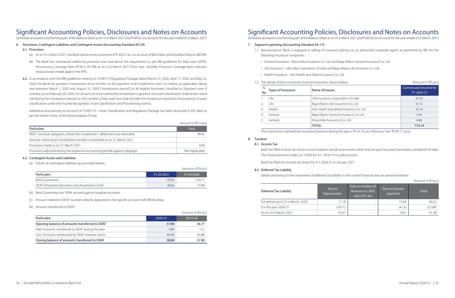(Schedule annexed to and forming part of the Balance Sheet as on 31st March 2021 and Profit & Loss Account for the year ended 31st March, 2021)

### 6. Provisions, Contingent Liabilities and Contingent Assets (Accounting Standard AS-29)

### 6.1. Provisions

- (a) As on 31st March 2021, the Bank had an excess provision of  $\bar{\xi}$  20.07 Lacs on account of Bad Debts and Doubtful Reserve (BDDR).
- (b) The Bank has maintained additional provision over and above the requirement as per RBI guidelines for Bad Loans (NPA). Provisioning Coverage Ratio (PCR) is 39.78% as on 31st March 2021 (Prior Year : 40.00%). Provision Coverage Ratio indicates total provision made against the NPA.
- 6.2. In accordance with the RBI guidelines relating to COVID-19 Regulatory Package dated March 27, 2020, April 17, 2020, and May 23, 2020, the Bank has granted a moratorium of six months on the payment of all installments and / or interest, as applicable, falling due between March 1, 2020 and August 31, 2020 ("moratorium period") to all eligible borrowers classified as Standard, even if overdue, as on February 29, 2020. For all such accounts where the moratorium is granted, the asset classification shall remain stand still during the moratorium period (i.e. the number of days past-due shall exclude the moratorium period for the purposes of asset classification under the Income Recognition, Asset Classification and Provisioning norms).

Additional provisioning on account of COVID-19 – Asset Classification and Regulatory Package has been disclosed in the table as per the extent norms of the Reserve Bank of India

|                                                                                | (Amount in ₹/Crores) |
|--------------------------------------------------------------------------------|----------------------|
| <b>Particulars</b>                                                             | <b>Total</b>         |
| SMA / overdue categories, where the moratorium / deferment was extended        | 99.92                |
| Amount where asset classification benefits is extended as on 31 March 2021     |                      |
| Provisions made as on 31 March 2021                                            | 066                  |
| Provisions adjusted during the respective accounting periods against slippages | Not Applicable       |

### 6.3. Contingent Assets and Liabilities

(a) Details of contingent liabilities are provided below:

|                                               |            | (Amount in ₹⁄Lacs) |
|-----------------------------------------------|------------|--------------------|
| Particulars                                   | 31.03.2021 | 31.03.2020         |
| <b>Bank Guarantees</b>                        | 17896      | 216 11             |
| DEAF (Depositor Education and Awareness Fund) | 38.60      | 37.80              |

(b) Bank Guarantees are 100% secured against tangible securities.

(c) Amount related to DEAF has been directly deposited in the specific account with RBI Mumbai.

(d) Amount transferred to DEAF:

|                                                  |         | (Amount in ₹/Lacs) |
|--------------------------------------------------|---------|--------------------|
| <b>Particulars</b>                               | 2020-21 | 2019-20            |
| Opening balance of amounts transferred to DEAF   | 37.80   | 36.77              |
| Add: Amounts transferred to DEAF during the year | 0.80    | 151                |
| Less: Amounts reimbursed by DEAF towards claims  | (0.00)  | (0.48)             |
| Closing balance of amounts transferred to DEAF   | 38.60   | 37.80              |

### Signifcant Accounting Policies, Disclosures and Notes on Accounts

(Schedule annexed to and forming part of the Balance Sheet as on 31st March 2021 and Profit & Loss Account for the year ended 31st March, 2021)

### 7. Segment reporting (Accounting Standard AS-17):

7.1. Bancassurance: Bank is engaged in selling of insurance policies as an authorised corporate agent, as permitted by RBI, for the

- following insurance companies:
	- General Insurance New India Assurance Co. Ltd. and Bajaj Allianz General Insurance Co. Ltd.
	- Life Insurance Life India Corporation of India and Bajaj Allianz Life Insurance Co. Ltd.
	- Health Insurance Star Health and Allied Insurance Co. Ltd.

|     |                    | 7.2. The details of the commission income received is shown below: | (Amount in ₹/Lacs)                  |
|-----|--------------------|--------------------------------------------------------------------|-------------------------------------|
| No. | Types of Insurance | Name of Insurer                                                    | Commission Income for<br>FY 2020-21 |
|     | Life               | Life Insurance Corporation of India                                | 35.45                               |
|     | Life               | Bajaj Allianz Life Insurance Co. Ltd                               | 92.15                               |
|     | Health             | Star Health and allied Insurance Co. Ltd.                          | 32.24                               |
|     | General            | Bajaj Allianz General Insurance Co. Ltd.                           | 9.44                                |
|     | General            | New India Assurance Co. Ltd.                                       | 4.86                                |
|     |                    | <b>TOTAL</b>                                                       | 174.14                              |

The commission earned from insurance business during the year is ₹174.14 Lacs (Previous Year: ₹145.17 Lacs).

### 8. Taxation

### 8.1. Income Tax

Bank has filed income tax returns since inception and all assessments other than for past two years have been completed till date. The Final assessment order u/s 143(3) for A.Y. 2018-19 is under process.

Bank has filed the income tax return for A.Y. 2020-21 in January 2021.

### 8.2. Deferred Tax Liability

Details pertaining to the movement of deferred tax liability in the current financial year are presented below

*(Amount in* C*/Lacs)*

| Deferred Tax Liability            | Due to<br>Depreciation | Due to creation of<br>Reserve U/s 36(l)<br>(viii) of IT Act | Due to Gratuity<br>payment | Total   |
|-----------------------------------|------------------------|-------------------------------------------------------------|----------------------------|---------|
| For period up to 31st March, 2020 | 71.18                  |                                                             | 13.04                      | 84.22   |
| For the year 2020-21              | (18.71)                | $\overline{\phantom{0}}$                                    | (4.13)                     | (22.84) |
| As on 31st March, 2021            | 52.47                  | $\overline{\phantom{0}}$                                    | 8.91                       | 61.38   |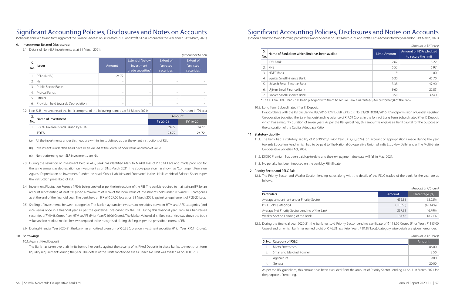*(Amount in* ₹/*Crores*)

## Signifcant Accounting Policies, Disclosures and Notes on Accounts

(Schedule annexed to and forming part of the Balance Sheet as on 31st March 2021 and Profit & Loss Account for the year ended 31st March, 2021)

### 9. Investments Related Disclosures:

9.1. Details of Non-SLR investments as at 31 March 2021:

- (b) Investments under this head have been valued at the lower of book value and market value.
- (c) Non-performing non-SLR investments are Nil.
- 9.3. During the valuation of investment held in AFS, Bank has identified Mark to Market loss of  $\bar{\tau}$  16.14 Lacs and made provision for the same amount as depreciation on Investment as on 31st March 2021. The above provision has shown as "Contingent Provision Against Depreciation on Investment" under the head "Other Liabilities and Provisions" in the Liabilities side of Balance Sheet as per the instruction prescribed of RBI.
- 9.4. Investment Fluctuation Reserve (IFR) is being created as per the instructions of the RBI. The bank is required to maintain an IFR for an amount representing at least 5% (up to a maximum of 10%) of the book value of investments held under AFS and HFT categories as at the end of the financial year. The bank held an IFR of ₹ 27.00 lacs as on 31 March 2021, against a requirement of ₹ 26.25 Lacs.
- 9.5. Shifting of Investments between categories: The Bank may transfer investment securities between HTM and AFS categories (and vice versa) once in a financial year as per the guidelines prescribed by the RBI. During this financial year, Bank has transferred securities of ₹99.48 Crores from HTM to AFS (Prior Year: ₹46.06 Crores). The Market Value of all shifted securities was above the book value and no mark to market loss was required to be recognised during shifting as per the prescribed norms of RBI.
- 9.6. During Financial Year 2020-21, the bank has amortised premium of ₹0.35 Crores on investment securities (Prior Year : ₹0.41 Crores).

| S.<br>No.             | <b>Issuer</b>                                                                                                                                                                                                                                                                                                                                                                                                | Amount                   | Extent of 'below<br>investment<br>grade securities' | Extent of<br>'unrated<br>securities' | (Amount in ₹/Lacs)<br><b>Extent of</b><br>'unlisted<br>securities' |
|-----------------------|--------------------------------------------------------------------------------------------------------------------------------------------------------------------------------------------------------------------------------------------------------------------------------------------------------------------------------------------------------------------------------------------------------------|--------------------------|-----------------------------------------------------|--------------------------------------|--------------------------------------------------------------------|
|                       | PSUs (NHAI)                                                                                                                                                                                                                                                                                                                                                                                                  | 24.72                    | $\overline{\phantom{a}}$                            | $\overline{\phantom{0}}$             |                                                                    |
| $\mathcal{D}_{\cdot}$ | Fls                                                                                                                                                                                                                                                                                                                                                                                                          |                          |                                                     | $\overline{\phantom{0}}$             |                                                                    |
| $\overline{3}$ .      | <b>Public Sector Banks</b>                                                                                                                                                                                                                                                                                                                                                                                   | $\overline{\phantom{0}}$ | $\overline{\phantom{m}}$                            | $\overline{\phantom{0}}$             |                                                                    |
| $\overline{4}$ .      | Mutual Funds                                                                                                                                                                                                                                                                                                                                                                                                 | $\overline{\phantom{0}}$ | $\overline{\phantom{a}}$                            | $\overline{\phantom{0}}$             |                                                                    |
| .5.                   | Others                                                                                                                                                                                                                                                                                                                                                                                                       | $\overline{\phantom{0}}$ |                                                     | ۰                                    |                                                                    |
| 6.                    | Provision held towards Depreciation                                                                                                                                                                                                                                                                                                                                                                          | $\overline{\phantom{0}}$ |                                                     | $\overline{\phantom{0}}$             |                                                                    |
|                       | $\mathbf{M}$ $\mathbf{C}$ $\mathbf{D}$ $\mathbf{I}$ $\mathbf{A}$ $\mathbf{A}$ $\mathbf{A}$ $\mathbf{A}$ $\mathbf{A}$ $\mathbf{A}$ $\mathbf{A}$ $\mathbf{A}$ $\mathbf{A}$ $\mathbf{A}$ $\mathbf{A}$ $\mathbf{A}$ $\mathbf{A}$ $\mathbf{A}$ $\mathbf{A}$ $\mathbf{A}$ $\mathbf{A}$ $\mathbf{A}$ $\mathbf{A}$ $\mathbf{A}$ $\mathbf{$<br>$\left( \begin{array}{ccc} 1 & 1 & 1 \\ 0 & 1 & 1 \end{array} \right)$ |                          |                                                     |                                      |                                                                    |

9.2. Non-SLR Investments of the bank comprise of the following items as at 31 March 2021: (Amount in  $\bar{\zeta}/\text{Lacs}$ )

| J.  | Name of Investment                   | Amount   |          |  |
|-----|--------------------------------------|----------|----------|--|
| No. |                                      | FY 20-21 | FY 19-20 |  |
|     | 8.30% Tax-free Bonds issued by NHAI. | 24.72    | 24.72    |  |
|     | <b>TOTAL</b>                         | 24.72    | 24.72    |  |

(a) All the investments under this head are within limits defined as per the extant instructions of RBI.

11.1. The Bank had a statutory liability of ₹ 3,30,525/-(Prior Year : ₹ 2,25,307/-). on account of appropriations made during the year towards Education Fund, which had to be paid to The National Co-operative Union of India Ltd., New Delhi, under The Multi-State

### 10. Borrowings

10.1.Against Fixed Deposit

nes, this amount has been excluded from the amount of Priority the purpose of reporting.

The Bank has taken overdraft limits from other banks, against the security of its Fixed Deposits in these banks, to meet short term liquidity requirements during the year. The details of the limits sanctioned are as under. No limit was availed as on 31.03.2021.

| S.<br>No.      | Name of Bank from which limit has been availed | <b>Limit Amount</b> | Amount of FDRs pledged<br>to secure the limit |
|----------------|------------------------------------------------|---------------------|-----------------------------------------------|
|                | <b>IDBI Bank</b>                               | 2.67                |                                               |
| 2.             | PNB                                            | 5.52                |                                               |
|                | <b>HDFC Bank</b>                               | $\rightarrow$       |                                               |
| $\overline{4}$ | Equitas Small Finance Bank                     | 6.30                |                                               |
|                | Utkarsh Small Finance Bank                     | 13.38               | 42.90                                         |
| 6              | Ujjivan Small Finance Bank                     | 9.60                | 22.85                                         |
|                | Fincare Small Finance Bank                     | 13.50               |                                               |

## Signifcant Accounting Policies, Disclosures and Notes on Accounts

(Schedule annexed to and forming part of the Balance Sheet as on 31st March 2021 and Profit & Loss Account for the year ended 31st March, 2021)

- 10.2. Long Term Subordinated (Tier II) Deposit:
	- the calculation of the Capital Adequacy Ratio.

In accordance with the RBI circular no. RBI/2016-17/7 DCBR B.P.D. Cir. No. 21/09.18.201/2016-17 and permission of Central Registrar Co-operative Societies, the Bank has outstanding balance of ₹7.69 Crores in the form of Long Term Subordinated (Tier II) Deposit which has a maturity duration of seven years. As per the RBI guidelines, this amount is eligible as Tier II capital for the purpose of

#### 11. Statutory Liability

- Co-operative Societies Act, 2002.
- 11.2. DICGC Premium has been paid up-to-date and the next payment due date will fall in May, 2021.
- 11.3. No penalty has been imposed on the bank by RBI till date.

### 12. Priority Sector and PSLC Sale

12.1. The Priority Sector and Weaker Section lending ratios along with the details of the PSLC traded of the bank for the year are as

follows:

*(Amount in* C*/Crores)*

Crores) and on which bank has earned profit of ₹76.58 lacs (Prior Year : ₹81.87 Lacs). Category wise details are given hereunder..

|                                                 |          | (Amount in K/Crores) |
|-------------------------------------------------|----------|----------------------|
| <b>Particulars</b>                              | Amount   | Percentage (%)       |
| Average amount lent under Priority Sector       | 455.81   | 63.22%               |
| PSLC Sold (Category)                            | (118.50) | $(16.44\%)$          |
| Average Net Priority Sector Lending of the Bank | 337.31   | 4679%                |
| Weaker Section Lending of the Bank              | 134.46   | 18 71%               |

12.2. During the financial year 2020-21, the bank has sold Priority Sector Lending certificate of ₹ 118.50 Crores (Prior Year : ₹ 115.00

|                                                                                                                             |                           | (Amount in ₹/Crores) |
|-----------------------------------------------------------------------------------------------------------------------------|---------------------------|----------------------|
|                                                                                                                             | S. No.   Category of PSLC | Amount               |
| 1.                                                                                                                          | Micro Enterprises         | 86.00                |
|                                                                                                                             | Small and Marginal Former | 3.50                 |
|                                                                                                                             | Agriculture               | 9.00                 |
|                                                                                                                             | General                   | 20.00                |
| As partha RRI quidolines this amount has been evoluded from the amount of Priority Sector Lending as on 31st March 2021 for |                           |                      |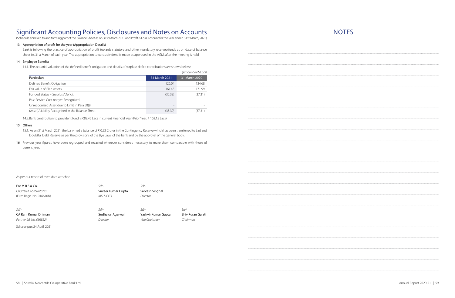(Schedule annexed to and forming part of the Balance Sheet as on 31st March 2021 and Profit & Loss Account for the year ended 31st March, 2021)

### 13. Appropriation of proft for the year (Appropriation Details)

Bank is following the practice of appropriation of profit towards statutory and other mandatory reserves/funds as on date of balance sheet i.e. 31st March of each year. The appropriation towards dividend is made as approved in the AGM, after the meeting is held.

### 14. Employee Benefts

14.1. The actuarial valuation of the defined benefit obligation and details of surplus/ deficit contributions are shown below:

- 15.1. As on 31st March 2021, the bank had a balance of ₹0.23 Crores in the Contingency Reserve which has been transferred to Bad and Doubtful Debt Reserve as per the provisions of the Bye Laws of the bank and by the approval of the general body.
- 16. Previous year figures have been regrouped and recasted wherever considered necessary to make them comparable with those of current year.

|                                                   |                          | (Amount in ₹/Lacs) |
|---------------------------------------------------|--------------------------|--------------------|
| <b>Particulars</b>                                | 31 March 2021            | 31 March 2020      |
| Defined Benefit Obligation                        | 126.04                   | 134.68             |
| Fair value of Plan Assets                         | 161.43                   | 171.99             |
| Funded Status - (Surplus)/Deficit                 | (35.39)                  | (37.31)            |
| Past Service Cost not yet Recognised              | $\overline{\phantom{0}}$ |                    |
| Unrecognised Asset due to Limit in Para 58(B)     |                          |                    |
| (Asset)/Liability Recognised in the Balance Sheet | (35.39)                  | (37.31)            |

14.2.Bank contribution to provident fund is ₹88.45 Lacs in current Financial Year (Prior Year: ₹ 102.15 Lacs).

### 15. Others

As per our report of even date attached

| For MRS & Co.            | Sd/-               | Sd/-                |                          |
|--------------------------|--------------------|---------------------|--------------------------|
| Chartered Accountants    | Suveer Kumar Gupta | Sarvesh Singhal     |                          |
| (Firm Regn. No. 016610N) | MD & CEO           | Director            |                          |
| $Sd$ /-                  | $Sd$ /-            | Sd/-                | Sd/-                     |
| CA Ram Kumar Dhiman      | Sudhakar Agarwal   | Yashvir Kumar Gupta | <b>Shiv Puran Gulati</b> |
| Partner (M. No. 096852)  | Director           | Vice Chairman       | Chairman                 |

Saharanpur: 24 April, 2021

**NOTES**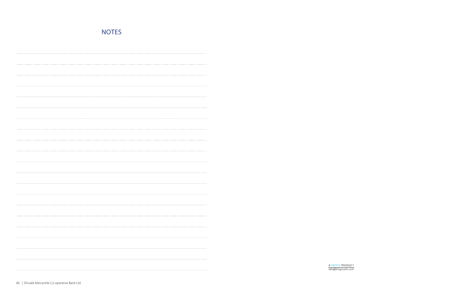|--|--|--|--|--|

ATRISYS PRODUCT<br>info@trisyscom.com